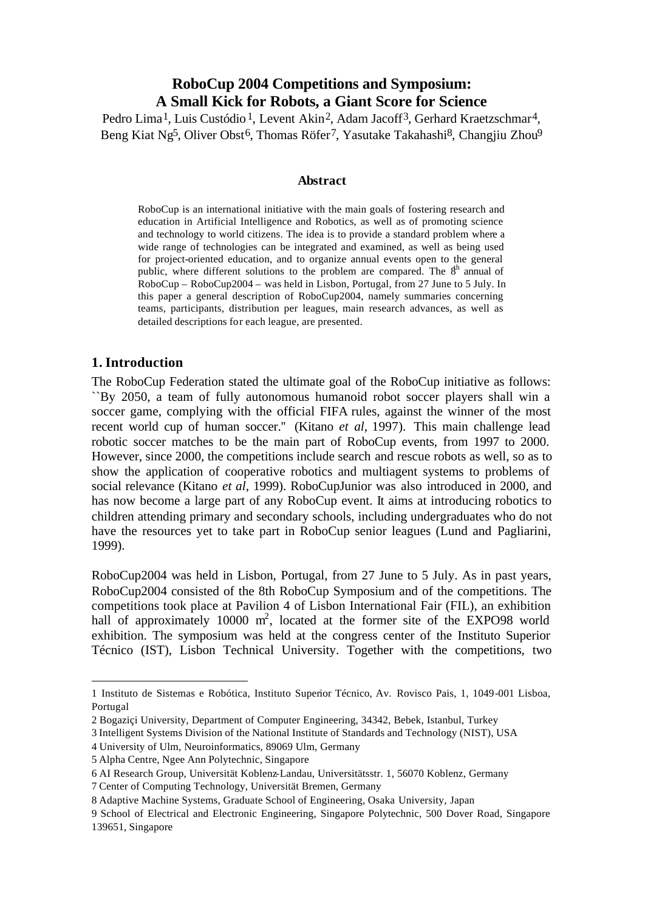# **RoboCup 2004 Competitions and Symposium: A Small Kick for Robots, a Giant Score for Science**

Pedro Lima<sup>1</sup>, Luis Custódio<sup>1</sup>, Levent Akin<sup>2</sup>, Adam Jacoff<sup>3</sup>, Gerhard Kraetzschmar<sup>4</sup>, Beng Kiat Ng<sup>5</sup>, Oliver Obst<sup>6</sup>, Thomas Röfer<sup>7</sup>, Yasutake Takahashi<sup>8</sup>, Changjiu Zhou<sup>9</sup>

#### **Abstract**

RoboCup is an international initiative with the main goals of fostering research and education in Artificial Intelligence and Robotics, as well as of promoting science and technology to world citizens. The idea is to provide a standard problem where a wide range of technologies can be integrated and examined, as well as being used for project-oriented education, and to organize annual events open to the general public, where different solutions to the problem are compared. The  $8<sup>th</sup>$  annual of RoboCup – RoboCup2004 – was held in Lisbon, Portugal, from 27 June to 5 July. In this paper a general description of RoboCup2004, namely summaries concerning teams, participants, distribution per leagues, main research advances, as well as detailed descriptions for each league, are presented.

### **1. Introduction**

l

The RoboCup Federation stated the ultimate goal of the RoboCup initiative as follows: ``By 2050, a team of fully autonomous humanoid robot soccer players shall win a soccer game, complying with the official FIFA rules, against the winner of the most recent world cup of human soccer.'' (Kitano *et al*, 1997). This main challenge lead robotic soccer matches to be the main part of RoboCup events, from 1997 to 2000. However, since 2000, the competitions include search and rescue robots as well, so as to show the application of cooperative robotics and multiagent systems to problems of social relevance (Kitano *et al*, 1999). RoboCupJunior was also introduced in 2000, and has now become a large part of any RoboCup event. It aims at introducing robotics to children attending primary and secondary schools, including undergraduates who do not have the resources yet to take part in RoboCup senior leagues (Lund and Pagliarini, 1999).

RoboCup2004 was held in Lisbon, Portugal, from 27 June to 5 July. As in past years, RoboCup2004 consisted of the 8th RoboCup Symposium and of the competitions. The competitions took place at Pavilion 4 of Lisbon International Fair (FIL), an exhibition hall of approximately 10000  $m^2$ , located at the former site of the EXPO98 world exhibition. The symposium was held at the congress center of the Instituto Superior Técnico (IST), Lisbon Technical University. Together with the competitions, two

<sup>1</sup> Instituto de Sistemas e Robótica, Instituto Superior Técnico, Av. Rovisco Pais, 1, 1049-001 Lisboa, Portugal

<sup>2</sup> Bogaziçi University, Department of Computer Engineering, 34342, Bebek, Istanbul, Turkey

<sup>3</sup> Intelligent Systems Division of the National Institute of Standards and Technology (NIST), USA

<sup>4</sup> University of Ulm, Neuroinformatics, 89069 Ulm, Germany

<sup>5</sup> Alpha Centre, Ngee Ann Polytechnic, Singapore

<sup>6</sup> AI Research Group, Universität Koblenz-Landau, Universitätsstr. 1, 56070 Koblenz, Germany

<sup>7</sup> Center of Computing Technology, Universität Bremen, Germany

<sup>8</sup> Adaptive Machine Systems, Graduate School of Engineering, Osaka University, Japan

<sup>9</sup> School of Electrical and Electronic Engineering, Singapore Polytechnic, 500 Dover Road, Singapore 139651, Singapore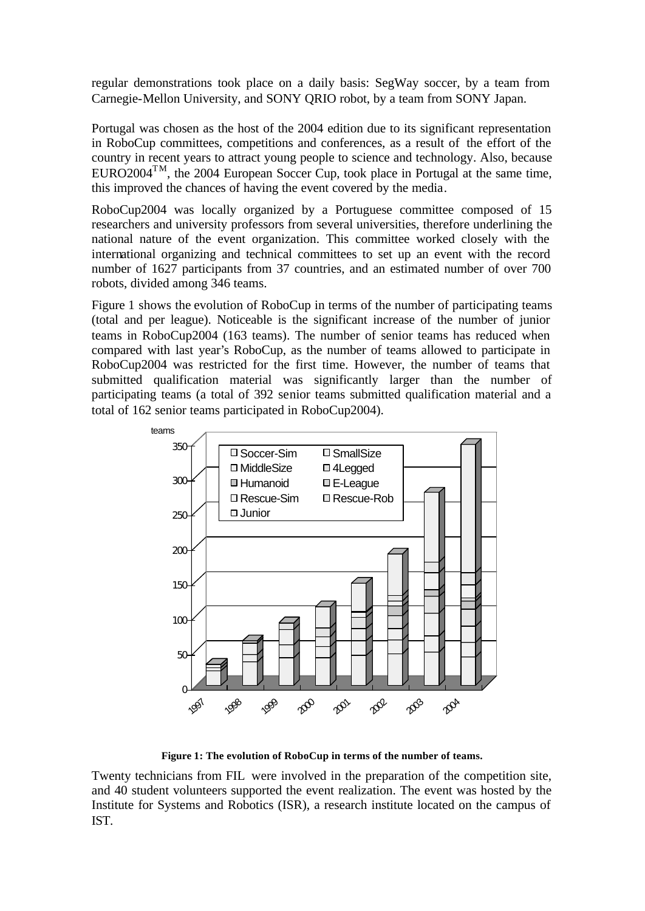regular demonstrations took place on a daily basis: SegWay soccer, by a team from Carnegie-Mellon University, and SONY QRIO robot, by a team from SONY Japan.

Portugal was chosen as the host of the 2004 edition due to its significant representation in RoboCup committees, competitions and conferences, as a result of the effort of the country in recent years to attract young people to science and technology. Also, because EURO2004<sup>TM</sup>, the 2004 European Soccer Cup, took place in Portugal at the same time, this improved the chances of having the event covered by the media.

RoboCup2004 was locally organized by a Portuguese committee composed of 15 researchers and university professors from several universities, therefore underlining the national nature of the event organization. This committee worked closely with the international organizing and technical committees to set up an event with the record number of 1627 participants from 37 countries, and an estimated number of over 700 robots, divided among 346 teams.

Figure 1 shows the evolution of RoboCup in terms of the number of participating teams (total and per league). Noticeable is the significant increase of the number of junior teams in RoboCup2004 (163 teams). The number of senior teams has reduced when compared with last year's RoboCup, as the number of teams allowed to participate in RoboCup2004 was restricted for the first time. However, the number of teams that submitted qualification material was significantly larger than the number of participating teams (a total of 392 senior teams submitted qualification material and a total of 162 senior teams participated in RoboCup2004).



**Figure 1: The evolution of RoboCup in terms of the number of teams.**

Twenty technicians from FIL were involved in the preparation of the competition site, and 40 student volunteers supported the event realization. The event was hosted by the Institute for Systems and Robotics (ISR), a research institute located on the campus of IST.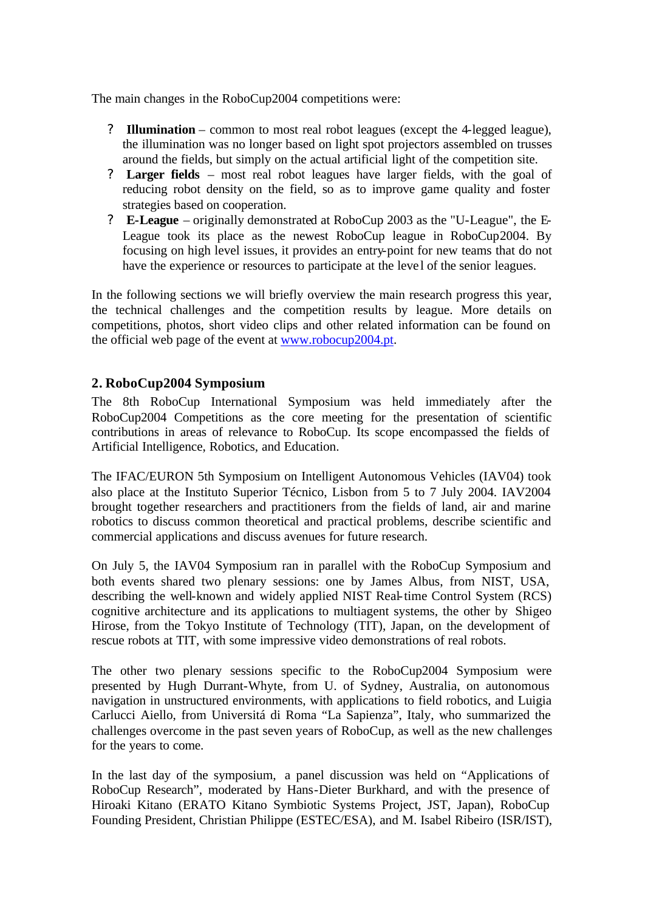The main changes in the RoboCup2004 competitions were:

- ? **Illumination** common to most real robot leagues (except the 4-legged league), the illumination was no longer based on light spot projectors assembled on trusses around the fields, but simply on the actual artificial light of the competition site.
- ? **Larger fields** most real robot leagues have larger fields, with the goal of reducing robot density on the field, so as to improve game quality and foster strategies based on cooperation.
- ? **E-League** originally demonstrated at RoboCup 2003 as the "U-League", the E-League took its place as the newest RoboCup league in RoboCup2004. By focusing on high level issues, it provides an entry-point for new teams that do not have the experience or resources to participate at the leve l of the senior leagues.

In the following sections we will briefly overview the main research progress this year, the technical challenges and the competition results by league. More details on competitions, photos, short video clips and other related information can be found on the official web page of the event at www.robocup2004.pt.

## **2. RoboCup2004 Symposium**

The 8th RoboCup International Symposium was held immediately after the RoboCup2004 Competitions as the core meeting for the presentation of scientific contributions in areas of relevance to RoboCup. Its scope encompassed the fields of Artificial Intelligence, Robotics, and Education.

The IFAC/EURON 5th Symposium on Intelligent Autonomous Vehicles (IAV04) took also place at the Instituto Superior Técnico, Lisbon from 5 to 7 July 2004. IAV2004 brought together researchers and practitioners from the fields of land, air and marine robotics to discuss common theoretical and practical problems, describe scientific and commercial applications and discuss avenues for future research.

On July 5, the IAV04 Symposium ran in parallel with the RoboCup Symposium and both events shared two plenary sessions: one by James Albus, from NIST, USA, describing the well-known and widely applied NIST Real-time Control System (RCS) cognitive architecture and its applications to multiagent systems, the other by Shigeo Hirose, from the Tokyo Institute of Technology (TIT), Japan, on the development of rescue robots at TIT, with some impressive video demonstrations of real robots.

The other two plenary sessions specific to the RoboCup2004 Symposium were presented by Hugh Durrant-Whyte, from U. of Sydney, Australia, on autonomous navigation in unstructured environments, with applications to field robotics, and Luigia Carlucci Aiello, from Universitá di Roma "La Sapienza", Italy, who summarized the challenges overcome in the past seven years of RoboCup, as well as the new challenges for the years to come.

In the last day of the symposium, a panel discussion was held on "Applications of RoboCup Research", moderated by Hans-Dieter Burkhard, and with the presence of Hiroaki Kitano (ERATO Kitano Symbiotic Systems Project, JST, Japan), RoboCup Founding President, Christian Philippe (ESTEC/ESA), and M. Isabel Ribeiro (ISR/IST),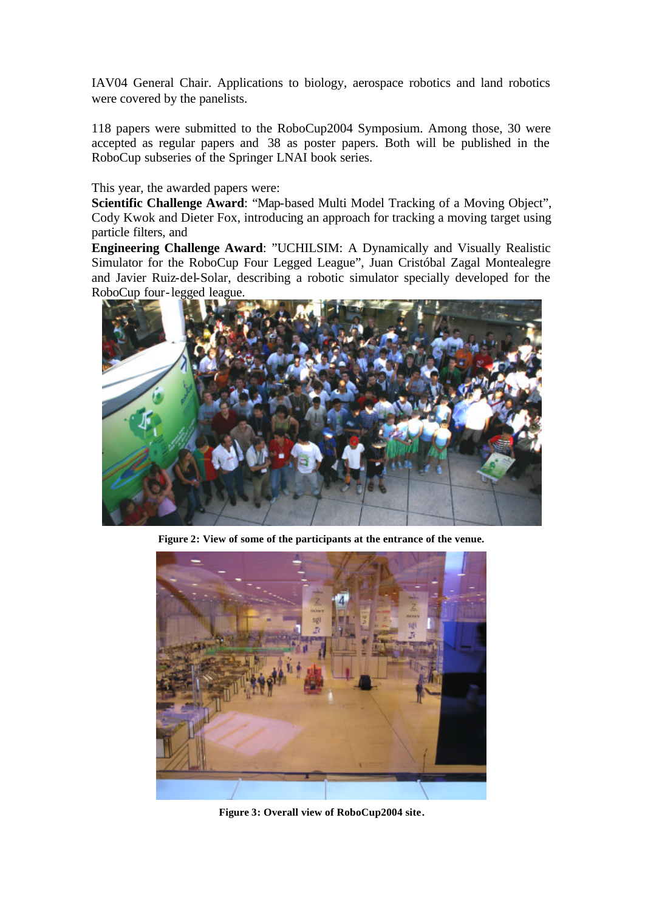IAV04 General Chair. Applications to biology, aerospace robotics and land robotics were covered by the panelists.

118 papers were submitted to the RoboCup2004 Symposium. Among those, 30 were accepted as regular papers and 38 as poster papers. Both will be published in the RoboCup subseries of the Springer LNAI book series.

This year, the awarded papers were:

**Scientific Challenge Award**: "Map-based Multi Model Tracking of a Moving Object", Cody Kwok and Dieter Fox, introducing an approach for tracking a moving target using particle filters, and

**Engineering Challenge Award**: "UCHILSIM: A Dynamically and Visually Realistic Simulator for the RoboCup Four Legged League", Juan Cristóbal Zagal Montealegre and Javier Ruiz-del-Solar, describing a robotic simulator specially developed for the RoboCup four-legged league.



**Figure 2: View of some of the participants at the entrance of the venue.**



**Figure 3: Overall view of RoboCup2004 site.**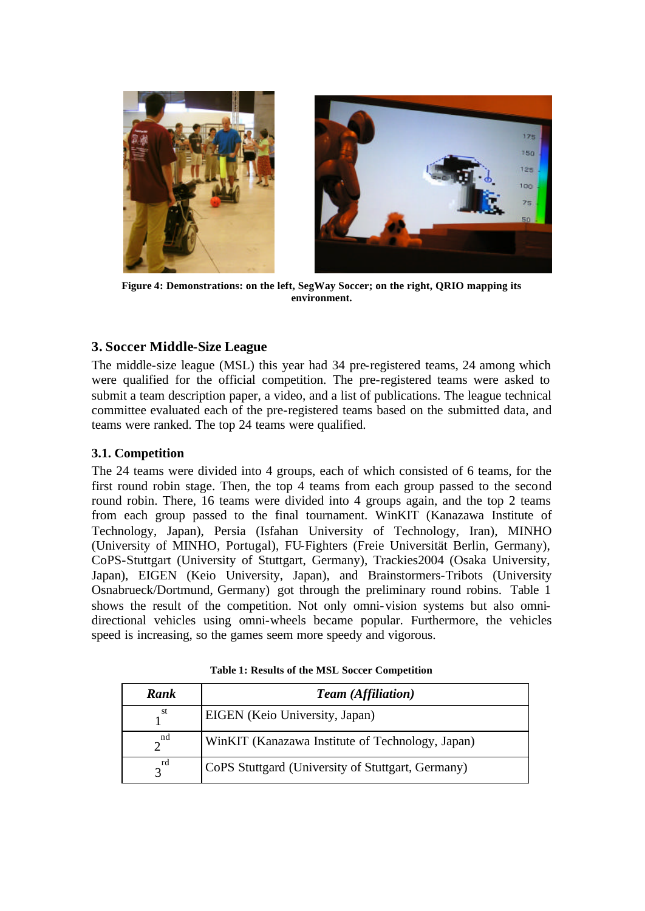



**Figure 4: Demonstrations: on the left, SegWay Soccer; on the right, QRIO mapping its environment.**

## **3. Soccer Middle-Size League**

The middle-size league (MSL) this year had 34 pre-registered teams, 24 among which were qualified for the official competition. The pre-registered teams were asked to submit a team description paper, a video, and a list of publications. The league technical committee evaluated each of the pre-registered teams based on the submitted data, and teams were ranked. The top 24 teams were qualified.

## **3.1. Competition**

The 24 teams were divided into 4 groups, each of which consisted of 6 teams, for the first round robin stage. Then, the top 4 teams from each group passed to the second round robin. There, 16 teams were divided into 4 groups again, and the top 2 teams from each group passed to the final tournament. WinKIT (Kanazawa Institute of Technology, Japan), Persia (Isfahan University of Technology, Iran), MINHO (University of MINHO, Portugal), FU-Fighters (Freie Universität Berlin, Germany), CoPS-Stuttgart (University of Stuttgart, Germany), Trackies2004 (Osaka University, Japan), EIGEN (Keio University, Japan), and Brainstormers-Tribots (University Osnabrueck/Dortmund, Germany) got through the preliminary round robins. Table 1 shows the result of the competition. Not only omni-vision systems but also omnidirectional vehicles using omni-wheels became popular. Furthermore, the vehicles speed is increasing, so the games seem more speedy and vigorous.

| Rank                    | <b>Team</b> (Affiliation)                         |  |  |
|-------------------------|---------------------------------------------------|--|--|
| st                      | EIGEN (Keio University, Japan)                    |  |  |
| nd                      | WinKIT (Kanazawa Institute of Technology, Japan)  |  |  |
| rd<br>$\mathbf{\Omega}$ | CoPS Stuttgard (University of Stuttgart, Germany) |  |  |

**Table 1: Results of the MSL Soccer Competition**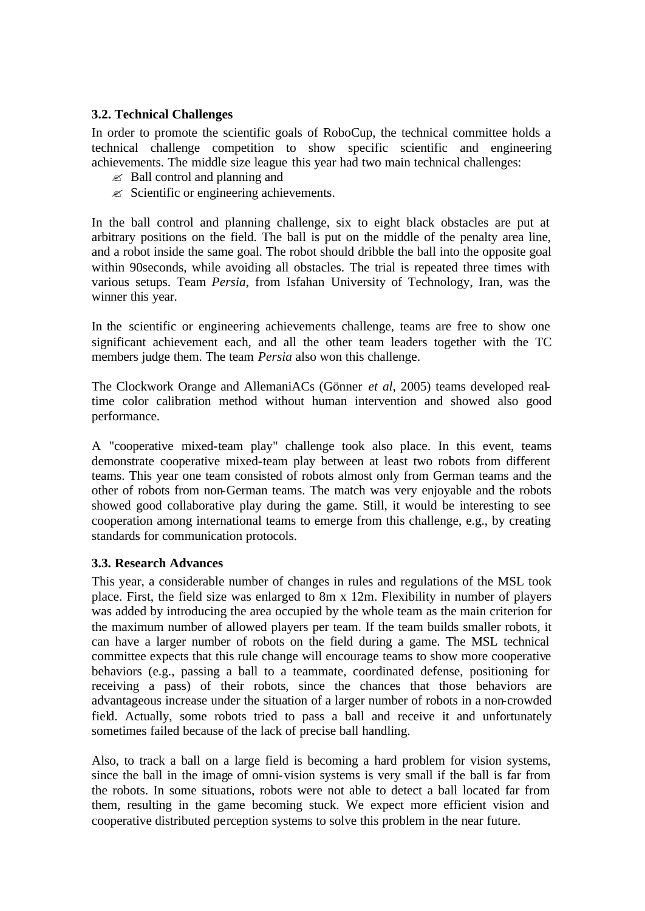### **3.2. Technical Challenges**

In order to promote the scientific goals of RoboCup, the technical committee holds a technical challenge competition to show specific scientific and engineering achievements. The middle size league this year had two main technical challenges:

- $\mathscr{\mathscr{E}}$  Ball control and planning and
- $\mathscr{L}$  Scientific or engineering achievements.

In the ball control and planning challenge, six to eight black obstacles are put at arbitrary positions on the field. The ball is put on the middle of the penalty area line, and a robot inside the same goal. The robot should dribble the ball into the opposite goal within 90seconds, while avoiding all obstacles. The trial is repeated three times with various setups. Team *Persia*, from Isfahan University of Technology, Iran, was the winner this year.

In the scientific or engineering achievements challenge, teams are free to show one significant achievement each, and all the other team leaders together with the TC members judge them. The team *Persia* also won this challenge.

The Clockwork Orange and AllemaniACs (Gönner *et al*, 2005) teams developed realtime color calibration method without human intervention and showed also good performance.

A "cooperative mixed-team play" challenge took also place. In this event, teams demonstrate cooperative mixed-team play between at least two robots from different teams. This year one team consisted of robots almost only from German teams and the other of robots from non-German teams. The match was very enjoyable and the robots showed good collaborative play during the game. Still, it would be interesting to see cooperation among international teams to emerge from this challenge, e.g., by creating standards for communication protocols.

### **3.3. Research Advances**

This year, a considerable number of changes in rules and regulations of the MSL took place. First, the field size was enlarged to 8m x 12m. Flexibility in number of players was added by introducing the area occupied by the whole team as the main criterion for the maximum number of allowed players per team. If the team builds smaller robots, it can have a larger number of robots on the field during a game. The MSL technical committee expects that this rule change will encourage teams to show more cooperative behaviors (e.g., passing a ball to a teammate, coordinated defense, positioning for receiving a pass) of their robots, since the chances that those behaviors are advantageous increase under the situation of a larger number of robots in a non-crowded field. Actually, some robots tried to pass a ball and receive it and unfortunately sometimes failed because of the lack of precise ball handling.

Also, to track a ball on a large field is becoming a hard problem for vision systems, since the ball in the image of omni-vision systems is very small if the ball is far from the robots. In some situations, robots were not able to detect a ball located far from them, resulting in the game becoming stuck. We expect more efficient vision and cooperative distributed perception systems to solve this problem in the near future.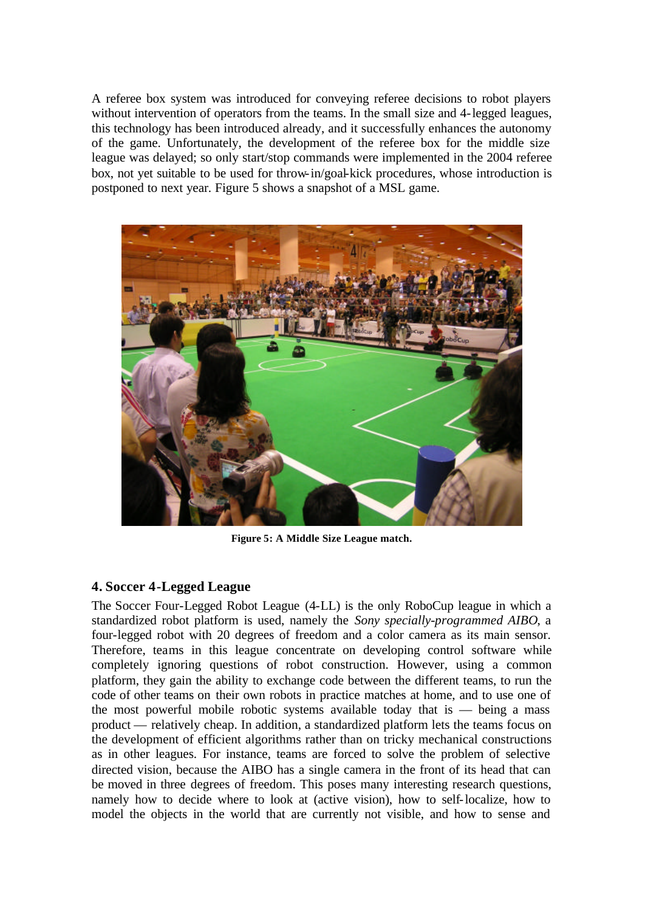A referee box system was introduced for conveying referee decisions to robot players without intervention of operators from the teams. In the small size and 4-legged leagues, this technology has been introduced already, and it successfully enhances the autonomy of the game. Unfortunately, the development of the referee box for the middle size league was delayed; so only start/stop commands were implemented in the 2004 referee box, not yet suitable to be used for throw-in/goal-kick procedures, whose introduction is postponed to next year. Figure 5 shows a snapshot of a MSL game.



**Figure 5: A Middle Size League match.**

## **4. Soccer 4-Legged League**

The Soccer Four-Legged Robot League (4-LL) is the only RoboCup league in which a standardized robot platform is used, namely the *Sony specially-programmed AIBO*, a four-legged robot with 20 degrees of freedom and a color camera as its main sensor. Therefore, teams in this league concentrate on developing control software while completely ignoring questions of robot construction. However, using a common platform, they gain the ability to exchange code between the different teams, to run the code of other teams on their own robots in practice matches at home, and to use one of the most powerful mobile robotic systems available today that is  $-$  being a mass product — relatively cheap. In addition, a standardized platform lets the teams focus on the development of efficient algorithms rather than on tricky mechanical constructions as in other leagues. For instance, teams are forced to solve the problem of selective directed vision, because the AIBO has a single camera in the front of its head that can be moved in three degrees of freedom. This poses many interesting research questions, namely how to decide where to look at (active vision), how to self-localize, how to model the objects in the world that are currently not visible, and how to sense and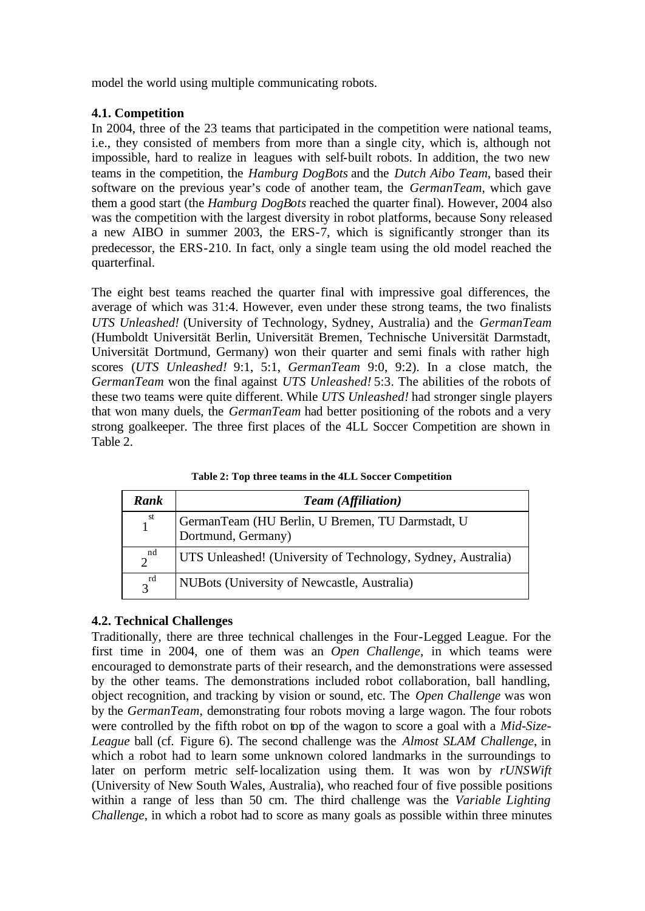model the world using multiple communicating robots.

## **4.1. Competition**

In 2004, three of the 23 teams that participated in the competition were national teams, i.e., they consisted of members from more than a single city, which is, although not impossible, hard to realize in leagues with self-built robots. In addition, the two new teams in the competition, the *Hamburg DogBots* and the *Dutch Aibo Team*, based their software on the previous year's code of another team, the *GermanTeam*, which gave them a good start (the *Hamburg DogBots* reached the quarter final). However, 2004 also was the competition with the largest diversity in robot platforms, because Sony released a new AIBO in summer 2003, the ERS-7, which is significantly stronger than its predecessor, the ERS-210. In fact, only a single team using the old model reached the quarterfinal.

The eight best teams reached the quarter final with impressive goal differences, the average of which was 31:4. However, even under these strong teams, the two finalists *UTS Unleashed!* (University of Technology, Sydney, Australia) and the *GermanTeam* (Humboldt Universität Berlin, Universität Bremen, Technische Universität Darmstadt, Universität Dortmund, Germany) won their quarter and semi finals with rather high scores (*UTS Unleashed!* 9:1, 5:1, *GermanTeam* 9:0, 9:2). In a close match, the *GermanTeam* won the final against *UTS Unleashed!* 5:3. The abilities of the robots of these two teams were quite different. While *UTS Unleashed!* had stronger single players that won many duels, the *GermanTeam* had better positioning of the robots and a very strong goalkeeper. The three first places of the 4LL Soccer Competition are shown in Table 2.

| Rank                 | <b>Team</b> (Affiliation)                                              |  |  |
|----------------------|------------------------------------------------------------------------|--|--|
| $1^{\rm st}$         | GermanTeam (HU Berlin, U Bremen, TU Darmstadt, U<br>Dortmund, Germany) |  |  |
| nd<br>$\mathfrak{D}$ | UTS Unleashed! (University of Technology, Sydney, Australia)           |  |  |
| $3^{rd}$             | NUBots (University of Newcastle, Australia)                            |  |  |

**Table 2: Top three teams in the 4LL Soccer Competition**

## **4.2. Technical Challenges**

Traditionally, there are three technical challenges in the Four-Legged League. For the first time in 2004, one of them was an *Open Challenge*, in which teams were encouraged to demonstrate parts of their research, and the demonstrations were assessed by the other teams. The demonstrations included robot collaboration, ball handling, object recognition, and tracking by vision or sound, etc. The *Open Challenge* was won by the *GermanTeam*, demonstrating four robots moving a large wagon. The four robots were controlled by the fifth robot on top of the wagon to score a goal with a *Mid-Size-League* ball (cf. Figure 6). The second challenge was the *Almost SLAM Challenge*, in which a robot had to learn some unknown colored landmarks in the surroundings to later on perform metric self-localization using them. It was won by *rUNSWift* (University of New South Wales, Australia), who reached four of five possible positions within a range of less than 50 cm. The third challenge was the *Variable Lighting Challenge*, in which a robot had to score as many goals as possible within three minutes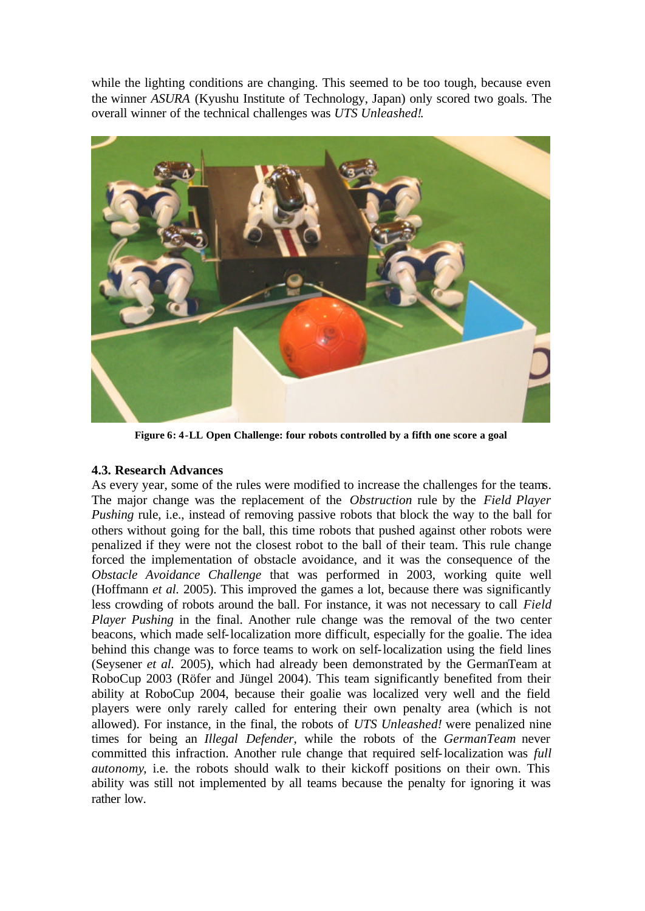while the lighting conditions are changing. This seemed to be too tough, because even the winner *ASURA* (Kyushu Institute of Technology, Japan) only scored two goals. The overall winner of the technical challenges was *UTS Unleashed!*.



**Figure 6: 4-LL Open Challenge: four robots controlled by a fifth one score a goal**

### **4.3. Research Advances**

As every year, some of the rules were modified to increase the challenges for the teams. The major change was the replacement of the *Obstruction* rule by the *Field Player Pushing* rule, i.e., instead of removing passive robots that block the way to the ball for others without going for the ball, this time robots that pushed against other robots were penalized if they were not the closest robot to the ball of their team. This rule change forced the implementation of obstacle avoidance, and it was the consequence of the *Obstacle Avoidance Challenge* that was performed in 2003, working quite well (Hoffmann *et al.* 2005). This improved the games a lot, because there was significantly less crowding of robots around the ball. For instance, it was not necessary to call *Field Player Pushing* in the final. Another rule change was the removal of the two center beacons, which made self-localization more difficult, especially for the goalie. The idea behind this change was to force teams to work on self-localization using the field lines (Seysener *et al.* 2005), which had already been demonstrated by the GermanTeam at RoboCup 2003 (Röfer and Jüngel 2004). This team significantly benefited from their ability at RoboCup 2004, because their goalie was localized very well and the field players were only rarely called for entering their own penalty area (which is not allowed). For instance, in the final, the robots of *UTS Unleashed!* were penalized nine times for being an *Illegal Defender*, while the robots of the *GermanTeam* never committed this infraction. Another rule change that required self-localization was *full autonomy*, i.e. the robots should walk to their kickoff positions on their own. This ability was still not implemented by all teams because the penalty for ignoring it was rather low.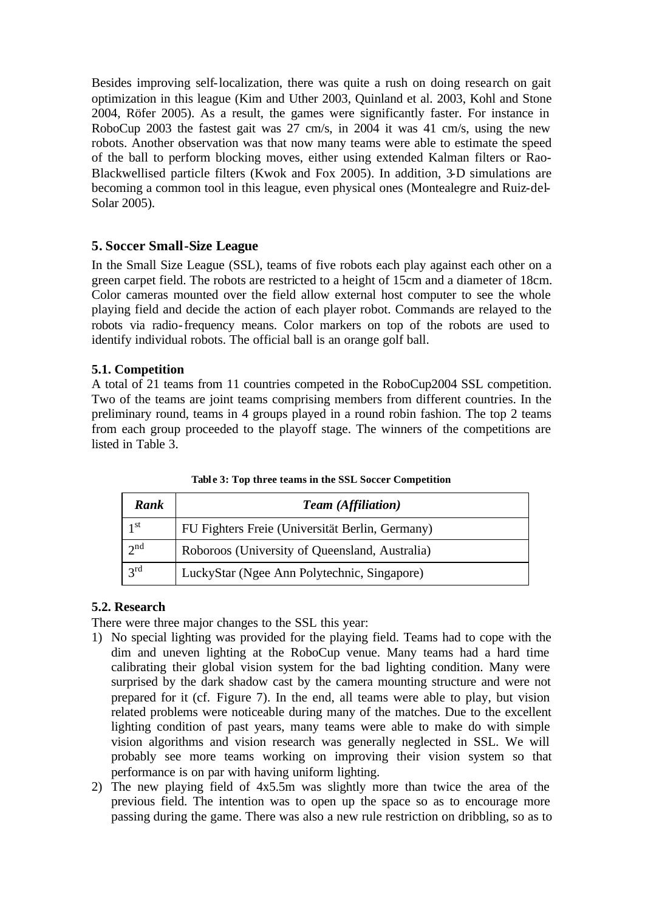Besides improving self-localization, there was quite a rush on doing research on gait optimization in this league (Kim and Uther 2003, Quinland et al. 2003, Kohl and Stone 2004, Röfer 2005). As a result, the games were significantly faster. For instance in RoboCup 2003 the fastest gait was 27 cm/s, in 2004 it was 41 cm/s, using the new robots. Another observation was that now many teams were able to estimate the speed of the ball to perform blocking moves, either using extended Kalman filters or Rao-Blackwellised particle filters (Kwok and Fox 2005). In addition, 3-D simulations are becoming a common tool in this league, even physical ones (Montealegre and Ruiz-del-Solar 2005).

### **5. Soccer Small-Size League**

In the Small Size League (SSL), teams of five robots each play against each other on a green carpet field. The robots are restricted to a height of 15cm and a diameter of 18cm. Color cameras mounted over the field allow external host computer to see the whole playing field and decide the action of each player robot. Commands are relayed to the robots via radio-frequency means. Color markers on top of the robots are used to identify individual robots. The official ball is an orange golf ball.

### **5.1. Competition**

A total of 21 teams from 11 countries competed in the RoboCup2004 SSL competition. Two of the teams are joint teams comprising members from different countries. In the preliminary round, teams in 4 groups played in a round robin fashion. The top 2 teams from each group proceeded to the playoff stage. The winners of the competitions are listed in Table 3.

| Rank            | <b>Team</b> (Affiliation)                       |  |  |
|-----------------|-------------------------------------------------|--|--|
| 1 st            | FU Fighters Freie (Universität Berlin, Germany) |  |  |
| $2^{nd}$        | Roboroos (University of Queensland, Australia)  |  |  |
| $2^{\text{rd}}$ | LuckyStar (Ngee Ann Polytechnic, Singapore)     |  |  |

**Tabl e 3: Top three teams in the SSL Soccer Competition**

### **5.2. Research**

There were three major changes to the SSL this year:

- 1) No special lighting was provided for the playing field. Teams had to cope with the dim and uneven lighting at the RoboCup venue. Many teams had a hard time calibrating their global vision system for the bad lighting condition. Many were surprised by the dark shadow cast by the camera mounting structure and were not prepared for it (cf. Figure 7). In the end, all teams were able to play, but vision related problems were noticeable during many of the matches. Due to the excellent lighting condition of past years, many teams were able to make do with simple vision algorithms and vision research was generally neglected in SSL. We will probably see more teams working on improving their vision system so that performance is on par with having uniform lighting.
- 2) The new playing field of 4x5.5m was slightly more than twice the area of the previous field. The intention was to open up the space so as to encourage more passing during the game. There was also a new rule restriction on dribbling, so as to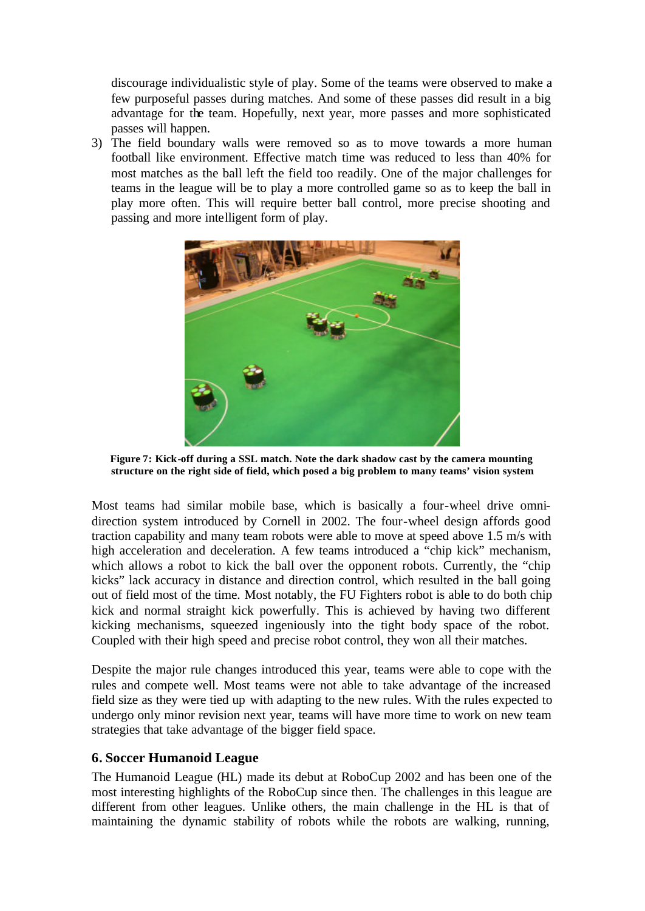discourage individualistic style of play. Some of the teams were observed to make a few purposeful passes during matches. And some of these passes did result in a big advantage for the team. Hopefully, next year, more passes and more sophisticated passes will happen.

3) The field boundary walls were removed so as to move towards a more human football like environment. Effective match time was reduced to less than 40% for most matches as the ball left the field too readily. One of the major challenges for teams in the league will be to play a more controlled game so as to keep the ball in play more often. This will require better ball control, more precise shooting and passing and more intelligent form of play.



**Figure 7: Kick-off during a SSL match. Note the dark shadow cast by the camera mounting structure on the right side of field, which posed a big problem to many teams' vision system**

Most teams had similar mobile base, which is basically a four-wheel drive omnidirection system introduced by Cornell in 2002. The four-wheel design affords good traction capability and many team robots were able to move at speed above 1.5 m/s with high acceleration and deceleration. A few teams introduced a "chip kick" mechanism, which allows a robot to kick the ball over the opponent robots. Currently, the "chip" kicks" lack accuracy in distance and direction control, which resulted in the ball going out of field most of the time. Most notably, the FU Fighters robot is able to do both chip kick and normal straight kick powerfully. This is achieved by having two different kicking mechanisms, squeezed ingeniously into the tight body space of the robot. Coupled with their high speed and precise robot control, they won all their matches.

Despite the major rule changes introduced this year, teams were able to cope with the rules and compete well. Most teams were not able to take advantage of the increased field size as they were tied up with adapting to the new rules. With the rules expected to undergo only minor revision next year, teams will have more time to work on new team strategies that take advantage of the bigger field space.

## **6. Soccer Humanoid League**

The Humanoid League (HL) made its debut at RoboCup 2002 and has been one of the most interesting highlights of the RoboCup since then. The challenges in this league are different from other leagues. Unlike others, the main challenge in the HL is that of maintaining the dynamic stability of robots while the robots are walking, running,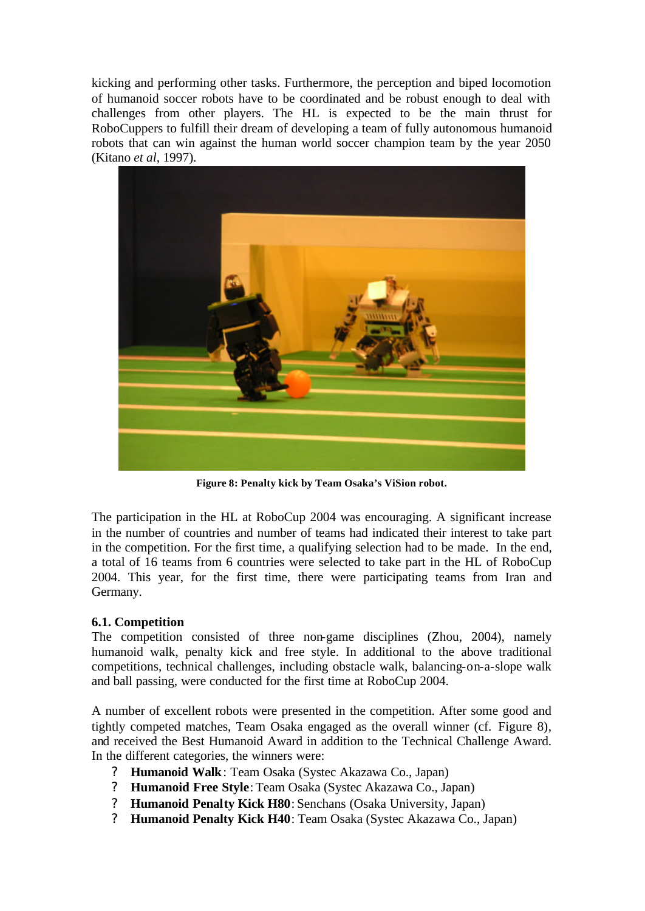kicking and performing other tasks. Furthermore, the perception and biped locomotion of humanoid soccer robots have to be coordinated and be robust enough to deal with challenges from other players. The HL is expected to be the main thrust for RoboCuppers to fulfill their dream of developing a team of fully autonomous humanoid robots that can win against the human world soccer champion team by the year 2050 (Kitano *et al*, 1997).



**Figure 8: Penalty kick by Team Osaka's ViSion robot.**

The participation in the HL at RoboCup 2004 was encouraging. A significant increase in the number of countries and number of teams had indicated their interest to take part in the competition. For the first time, a qualifying selection had to be made. In the end, a total of 16 teams from 6 countries were selected to take part in the HL of RoboCup 2004. This year, for the first time, there were participating teams from Iran and Germany.

## **6.1. Competition**

The competition consisted of three non-game disciplines (Zhou, 2004), namely humanoid walk, penalty kick and free style. In additional to the above traditional competitions, technical challenges, including obstacle walk, balancing-on-a-slope walk and ball passing, were conducted for the first time at RoboCup 2004.

A number of excellent robots were presented in the competition. After some good and tightly competed matches, Team Osaka engaged as the overall winner (cf. Figure 8), and received the Best Humanoid Award in addition to the Technical Challenge Award. In the different categories, the winners were:

- ? **Humanoid Walk**: Team Osaka (Systec Akazawa Co., Japan)
- ? **Humanoid Free Style**: Team Osaka (Systec Akazawa Co., Japan)
- ? **Humanoid Penalty Kick H80**: Senchans (Osaka University, Japan)
- ? **Humanoid Penalty Kick H40**: Team Osaka (Systec Akazawa Co., Japan)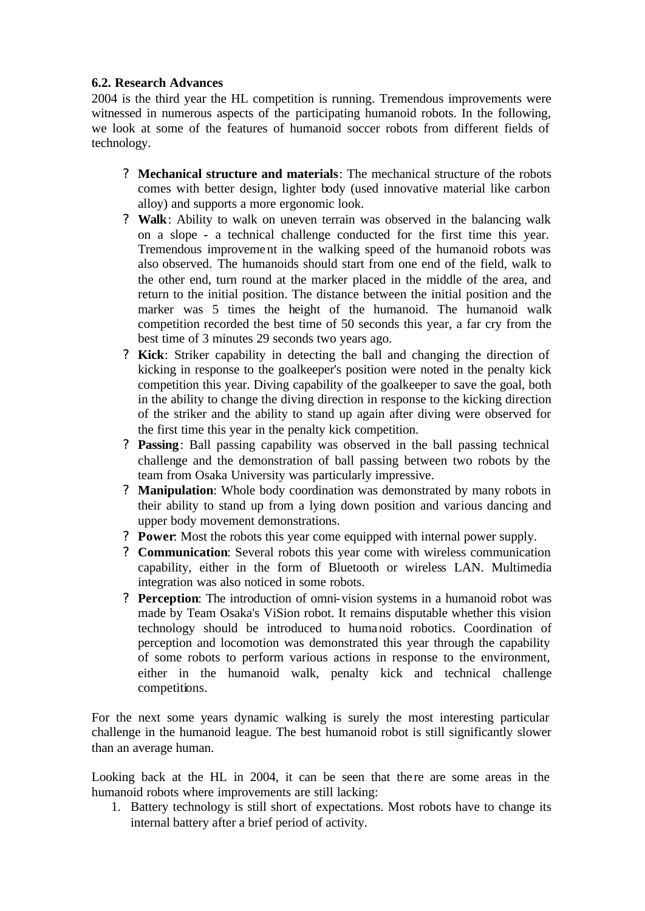## **6.2. Research Advances**

2004 is the third year the HL competition is running. Tremendous improvements were witnessed in numerous aspects of the participating humanoid robots. In the following, we look at some of the features of humanoid soccer robots from different fields of technology.

- ? **Mechanical structure and materials**: The mechanical structure of the robots comes with better design, lighter body (used innovative material like carbon alloy) and supports a more ergonomic look.
- ? **Walk**: Ability to walk on uneven terrain was observed in the balancing walk on a slope - a technical challenge conducted for the first time this year. Tremendous improvement in the walking speed of the humanoid robots was also observed. The humanoids should start from one end of the field, walk to the other end, turn round at the marker placed in the middle of the area, and return to the initial position. The distance between the initial position and the marker was 5 times the height of the humanoid. The humanoid walk competition recorded the best time of 50 seconds this year, a far cry from the best time of 3 minutes 29 seconds two years ago.
- ? **Kick**: Striker capability in detecting the ball and changing the direction of kicking in response to the goalkeeper's position were noted in the penalty kick competition this year. Diving capability of the goalkeeper to save the goal, both in the ability to change the diving direction in response to the kicking direction of the striker and the ability to stand up again after diving were observed for the first time this year in the penalty kick competition.
- ? **Passing**: Ball passing capability was observed in the ball passing technical challenge and the demonstration of ball passing between two robots by the team from Osaka University was particularly impressive.
- ? **Manipulation**: Whole body coordination was demonstrated by many robots in their ability to stand up from a lying down position and various dancing and upper body movement demonstrations.
- ? **Power**: Most the robots this year come equipped with internal power supply.
- ? **Communication**: Several robots this year come with wireless communication capability, either in the form of Bluetooth or wireless LAN. Multimedia integration was also noticed in some robots.
- ? **Perception**: The introduction of omni-vision systems in a humanoid robot was made by Team Osaka's ViSion robot. It remains disputable whether this vision technology should be introduced to humanoid robotics. Coordination of perception and locomotion was demonstrated this year through the capability of some robots to perform various actions in response to the environment, either in the humanoid walk, penalty kick and technical challenge competitions.

For the next some years dynamic walking is surely the most interesting particular challenge in the humanoid league. The best humanoid robot is still significantly slower than an average human.

Looking back at the HL in 2004, it can be seen that there are some areas in the humanoid robots where improvements are still lacking:

1. Battery technology is still short of expectations. Most robots have to change its internal battery after a brief period of activity.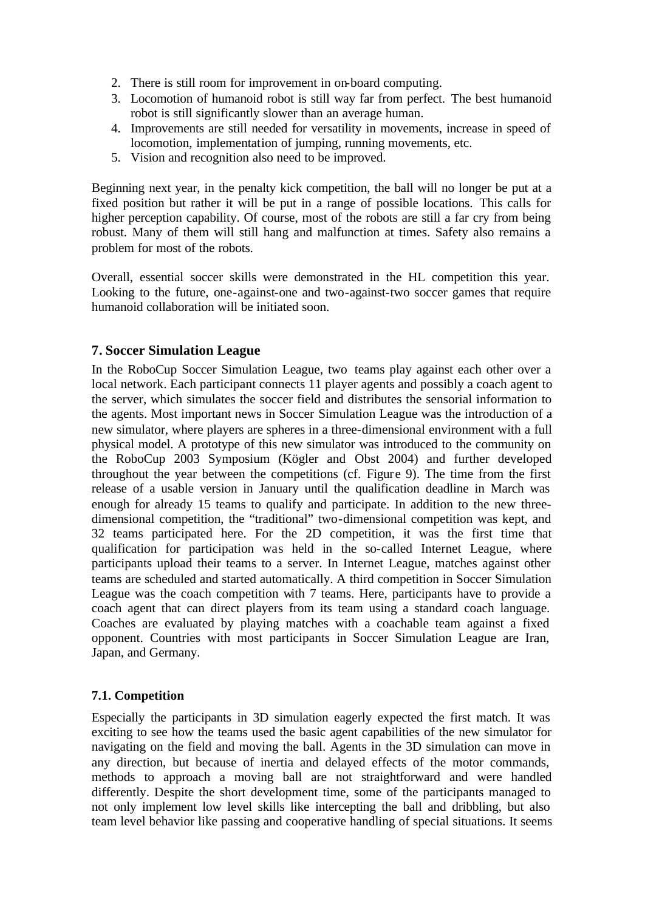- 2. There is still room for improvement in on-board computing.
- 3. Locomotion of humanoid robot is still way far from perfect. The best humanoid robot is still significantly slower than an average human.
- 4. Improvements are still needed for versatility in movements, increase in speed of locomotion, implementation of jumping, running movements, etc.
- 5. Vision and recognition also need to be improved.

Beginning next year, in the penalty kick competition, the ball will no longer be put at a fixed position but rather it will be put in a range of possible locations. This calls for higher perception capability. Of course, most of the robots are still a far cry from being robust. Many of them will still hang and malfunction at times. Safety also remains a problem for most of the robots.

Overall, essential soccer skills were demonstrated in the HL competition this year. Looking to the future, one-against-one and two-against-two soccer games that require humanoid collaboration will be initiated soon.

## **7. Soccer Simulation League**

In the RoboCup Soccer Simulation League, two teams play against each other over a local network. Each participant connects 11 player agents and possibly a coach agent to the server, which simulates the soccer field and distributes the sensorial information to the agents. Most important news in Soccer Simulation League was the introduction of a new simulator, where players are spheres in a three-dimensional environment with a full physical model. A prototype of this new simulator was introduced to the community on the RoboCup 2003 Symposium (Kögler and Obst 2004) and further developed throughout the year between the competitions (cf. Figure 9). The time from the first release of a usable version in January until the qualification deadline in March was enough for already 15 teams to qualify and participate. In addition to the new threedimensional competition, the "traditional" two-dimensional competition was kept, and 32 teams participated here. For the 2D competition, it was the first time that qualification for participation was held in the so-called Internet League, where participants upload their teams to a server. In Internet League, matches against other teams are scheduled and started automatically. A third competition in Soccer Simulation League was the coach competition with 7 teams. Here, participants have to provide a coach agent that can direct players from its team using a standard coach language. Coaches are evaluated by playing matches with a coachable team against a fixed opponent. Countries with most participants in Soccer Simulation League are Iran, Japan, and Germany.

## **7.1. Competition**

Especially the participants in 3D simulation eagerly expected the first match. It was exciting to see how the teams used the basic agent capabilities of the new simulator for navigating on the field and moving the ball. Agents in the 3D simulation can move in any direction, but because of inertia and delayed effects of the motor commands, methods to approach a moving ball are not straightforward and were handled differently. Despite the short development time, some of the participants managed to not only implement low level skills like intercepting the ball and dribbling, but also team level behavior like passing and cooperative handling of special situations. It seems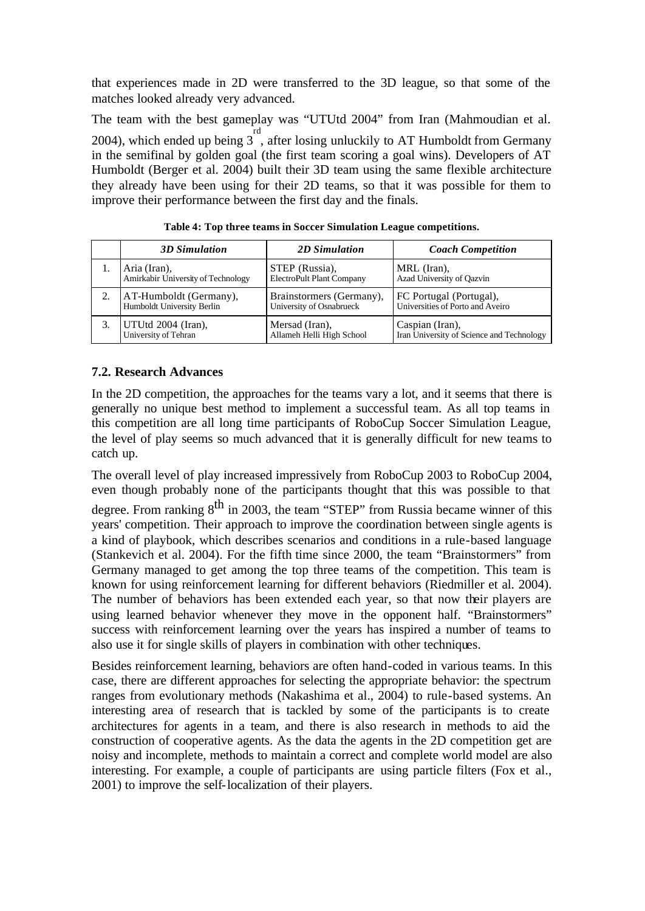that experiences made in 2D were transferred to the 3D league, so that some of the matches looked already very advanced.

The team with the best gameplay was "UTUtd 2004" from Iran (Mahmoudian et al. 2004), which ended up being 3 rd , after losing unluckily to AT Humboldt from Germany in the semifinal by golden goal (the first team scoring a goal wins). Developers of AT Humboldt (Berger et al. 2004) built their 3D team using the same flexible architecture they already have been using for their 2D teams, so that it was possible for them to improve their performance between the first day and the finals.

| <b>3D</b> Simulation               | 2D Simulation             | <b>Coach Competition</b>                  |
|------------------------------------|---------------------------|-------------------------------------------|
| Aria (Iran),                       | STEP (Russia),            | MRL (Iran),                               |
| Amirkabir University of Technology | ElectroPult Plant Company | Azad University of Qazvin                 |
| AT-Humboldt (Germany),             | Brainstormers (Germany),  | FC Portugal (Portugal),                   |
| Humboldt University Berlin         | University of Osnabrueck  | Universities of Porto and Aveiro          |
| UTUtd 2004 (Iran),                 | Mersad (Iran),            | Caspian (Iran),                           |
| University of Tehran               | Allameh Helli High School | Iran University of Science and Technology |

**Table 4: Top three teams in Soccer Simulation League competitions.**

## **7.2. Research Advances**

In the 2D competition, the approaches for the teams vary a lot, and it seems that there is generally no unique best method to implement a successful team. As all top teams in this competition are all long time participants of RoboCup Soccer Simulation League, the level of play seems so much advanced that it is generally difficult for new teams to catch up.

The overall level of play increased impressively from RoboCup 2003 to RoboCup 2004, even though probably none of the participants thought that this was possible to that degree. From ranking  $8^{th}$  in 2003, the team "STEP" from Russia became winner of this years' competition. Their approach to improve the coordination between single agents is a kind of playbook, which describes scenarios and conditions in a rule-based language (Stankevich et al. 2004). For the fifth time since 2000, the team "Brainstormers" from Germany managed to get among the top three teams of the competition. This team is known for using reinforcement learning for different behaviors (Riedmiller et al. 2004). The number of behaviors has been extended each year, so that now their players are using learned behavior whenever they move in the opponent half. "Brainstormers" success with reinforcement learning over the years has inspired a number of teams to also use it for single skills of players in combination with other techniques.

Besides reinforcement learning, behaviors are often hand-coded in various teams. In this case, there are different approaches for selecting the appropriate behavior: the spectrum ranges from evolutionary methods (Nakashima et al., 2004) to rule-based systems. An interesting area of research that is tackled by some of the participants is to create architectures for agents in a team, and there is also research in methods to aid the construction of cooperative agents. As the data the agents in the 2D competition get are noisy and incomplete, methods to maintain a correct and complete world model are also interesting. For example, a couple of participants are using particle filters (Fox et al., 2001) to improve the self-localization of their players.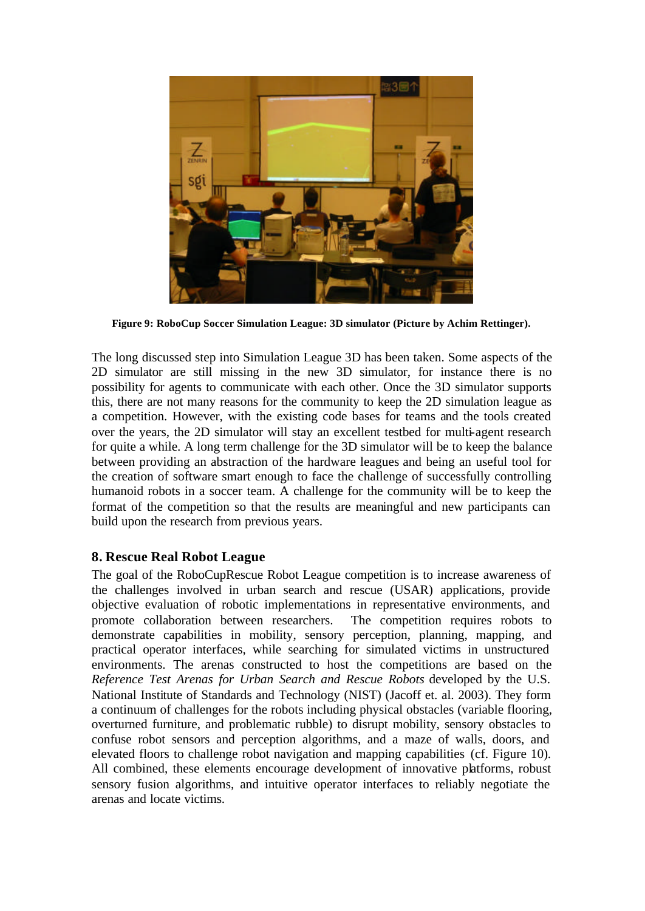

**Figure 9: RoboCup Soccer Simulation League: 3D simulator (Picture by Achim Rettinger).**

The long discussed step into Simulation League 3D has been taken. Some aspects of the 2D simulator are still missing in the new 3D simulator, for instance there is no possibility for agents to communicate with each other. Once the 3D simulator supports this, there are not many reasons for the community to keep the 2D simulation league as a competition. However, with the existing code bases for teams and the tools created over the years, the 2D simulator will stay an excellent testbed for multi-agent research for quite a while. A long term challenge for the 3D simulator will be to keep the balance between providing an abstraction of the hardware leagues and being an useful tool for the creation of software smart enough to face the challenge of successfully controlling humanoid robots in a soccer team. A challenge for the community will be to keep the format of the competition so that the results are meaningful and new participants can build upon the research from previous years.

## **8. Rescue Real Robot League**

The goal of the RoboCupRescue Robot League competition is to increase awareness of the challenges involved in urban search and rescue (USAR) applications, provide objective evaluation of robotic implementations in representative environments, and promote collaboration between researchers. The competition requires robots to demonstrate capabilities in mobility, sensory perception, planning, mapping, and practical operator interfaces, while searching for simulated victims in unstructured environments. The arenas constructed to host the competitions are based on the *Reference Test Arenas for Urban Search and Rescue Robots* developed by the U.S. National Institute of Standards and Technology (NIST) (Jacoff et. al. 2003). They form a continuum of challenges for the robots including physical obstacles (variable flooring, overturned furniture, and problematic rubble) to disrupt mobility, sensory obstacles to confuse robot sensors and perception algorithms, and a maze of walls, doors, and elevated floors to challenge robot navigation and mapping capabilities (cf. Figure 10). All combined, these elements encourage development of innovative platforms, robust sensory fusion algorithms, and intuitive operator interfaces to reliably negotiate the arenas and locate victims.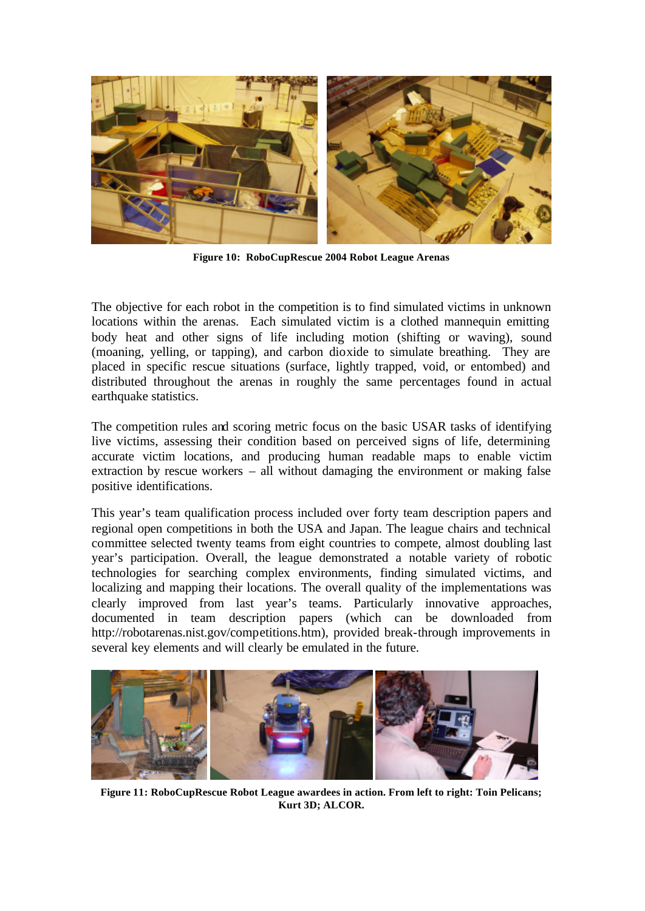

**Figure 10: RoboCupRescue 2004 Robot League Arenas**

The objective for each robot in the competition is to find simulated victims in unknown locations within the arenas. Each simulated victim is a clothed mannequin emitting body heat and other signs of life including motion (shifting or waving), sound (moaning, yelling, or tapping), and carbon dioxide to simulate breathing. They are placed in specific rescue situations (surface, lightly trapped, void, or entombed) and distributed throughout the arenas in roughly the same percentages found in actual earthquake statistics.

The competition rules and scoring metric focus on the basic USAR tasks of identifying live victims, assessing their condition based on perceived signs of life, determining accurate victim locations, and producing human readable maps to enable victim extraction by rescue workers – all without damaging the environment or making false positive identifications.

This year's team qualification process included over forty team description papers and regional open competitions in both the USA and Japan. The league chairs and technical committee selected twenty teams from eight countries to compete, almost doubling last year's participation. Overall, the league demonstrated a notable variety of robotic technologies for searching complex environments, finding simulated victims, and localizing and mapping their locations. The overall quality of the implementations was clearly improved from last year's teams. Particularly innovative approaches, documented in team description papers (which can be downloaded from http://robotarenas.nist.gov/competitions.htm), provided break-through improvements in several key elements and will clearly be emulated in the future.



**Figure 11: RoboCupRescue Robot League awardees in action. From left to right: Toin Pelicans; Kurt 3D; ALCOR.**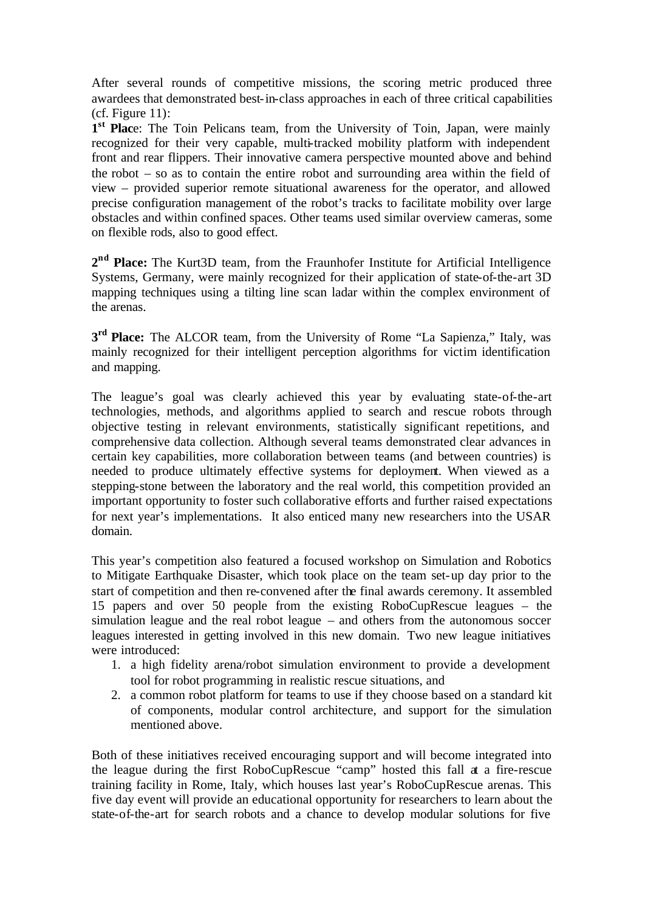After several rounds of competitive missions, the scoring metric produced three awardees that demonstrated best-in-class approaches in each of three critical capabilities (cf. Figure 11):

1<sup>st</sup> Place: The Toin Pelicans team, from the University of Toin, Japan, were mainly recognized for their very capable, multi-tracked mobility platform with independent front and rear flippers. Their innovative camera perspective mounted above and behind the robot – so as to contain the entire robot and surrounding area within the field of view – provided superior remote situational awareness for the operator, and allowed precise configuration management of the robot's tracks to facilitate mobility over large obstacles and within confined spaces. Other teams used similar overview cameras, some on flexible rods, also to good effect.

2<sup>nd</sup> Place: The Kurt3D team, from the Fraunhofer Institute for Artificial Intelligence Systems, Germany, were mainly recognized for their application of state-of-the-art 3D mapping techniques using a tilting line scan ladar within the complex environment of the arenas.

**3 rd Place:** The ALCOR team, from the University of Rome "La Sapienza," Italy, was mainly recognized for their intelligent perception algorithms for victim identification and mapping.

The league's goal was clearly achieved this year by evaluating state-of-the-art technologies, methods, and algorithms applied to search and rescue robots through objective testing in relevant environments, statistically significant repetitions, and comprehensive data collection. Although several teams demonstrated clear advances in certain key capabilities, more collaboration between teams (and between countries) is needed to produce ultimately effective systems for deployment. When viewed as a stepping-stone between the laboratory and the real world, this competition provided an important opportunity to foster such collaborative efforts and further raised expectations for next year's implementations. It also enticed many new researchers into the USAR domain.

This year's competition also featured a focused workshop on Simulation and Robotics to Mitigate Earthquake Disaster, which took place on the team set-up day prior to the start of competition and then re-convened after the final awards ceremony. It assembled 15 papers and over 50 people from the existing RoboCupRescue leagues – the simulation league and the real robot league – and others from the autonomous soccer leagues interested in getting involved in this new domain. Two new league initiatives were introduced:

- 1. a high fidelity arena/robot simulation environment to provide a development tool for robot programming in realistic rescue situations, and
- 2. a common robot platform for teams to use if they choose based on a standard kit of components, modular control architecture, and support for the simulation mentioned above.

Both of these initiatives received encouraging support and will become integrated into the league during the first RoboCupRescue "camp" hosted this fall at a fire-rescue training facility in Rome, Italy, which houses last year's RoboCupRescue arenas. This five day event will provide an educational opportunity for researchers to learn about the state-of-the-art for search robots and a chance to develop modular solutions for five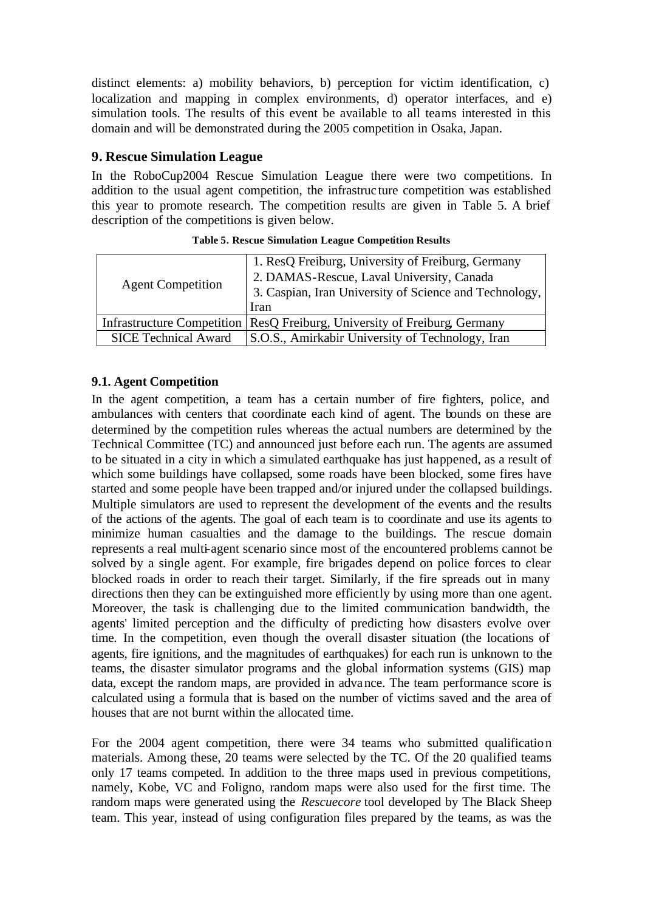distinct elements: a) mobility behaviors, b) perception for victim identification, c) localization and mapping in complex environments, d) operator interfaces, and e) simulation tools. The results of this event be available to all teams interested in this domain and will be demonstrated during the 2005 competition in Osaka, Japan.

## **9. Rescue Simulation League**

In the RoboCup2004 Rescue Simulation League there were two competitions. In addition to the usual agent competition, the infrastruc ture competition was established this year to promote research. The competition results are given in Table 5. A brief description of the competitions is given below.

| <b>Agent Competition</b>    | 1. ResQ Freiburg, University of Freiburg, Germany<br>2. DAMAS-Rescue, Laval University, Canada<br>3. Caspian, Iran University of Science and Technology,<br>Iran |  |  |
|-----------------------------|------------------------------------------------------------------------------------------------------------------------------------------------------------------|--|--|
|                             | Infrastructure Competition   ResQ Freiburg, University of Freiburg, Germany                                                                                      |  |  |
| <b>SICE Technical Award</b> | S.O.S., Amirkabir University of Technology, Iran                                                                                                                 |  |  |

**Table 5. Rescue Simulation League Competition Results**

## **9.1. Agent Competition**

In the agent competition, a team has a certain number of fire fighters, police, and ambulances with centers that coordinate each kind of agent. The bounds on these are determined by the competition rules whereas the actual numbers are determined by the Technical Committee (TC) and announced just before each run. The agents are assumed to be situated in a city in which a simulated earthquake has just happened, as a result of which some buildings have collapsed, some roads have been blocked, some fires have started and some people have been trapped and/or injured under the collapsed buildings. Multiple simulators are used to represent the development of the events and the results of the actions of the agents. The goal of each team is to coordinate and use its agents to minimize human casualties and the damage to the buildings. The rescue domain represents a real multi-agent scenario since most of the encountered problems cannot be solved by a single agent. For example, fire brigades depend on police forces to clear blocked roads in order to reach their target. Similarly, if the fire spreads out in many directions then they can be extinguished more efficiently by using more than one agent. Moreover, the task is challenging due to the limited communication bandwidth, the agents' limited perception and the difficulty of predicting how disasters evolve over time. In the competition, even though the overall disaster situation (the locations of agents, fire ignitions, and the magnitudes of earthquakes) for each run is unknown to the teams, the disaster simulator programs and the global information systems (GIS) map data, except the random maps, are provided in advance. The team performance score is calculated using a formula that is based on the number of victims saved and the area of houses that are not burnt within the allocated time.

For the 2004 agent competition, there were 34 teams who submitted qualification materials. Among these, 20 teams were selected by the TC. Of the 20 qualified teams only 17 teams competed. In addition to the three maps used in previous competitions, namely, Kobe, VC and Foligno, random maps were also used for the first time. The random maps were generated using the *Rescuecore* tool developed by The Black Sheep team. This year, instead of using configuration files prepared by the teams, as was the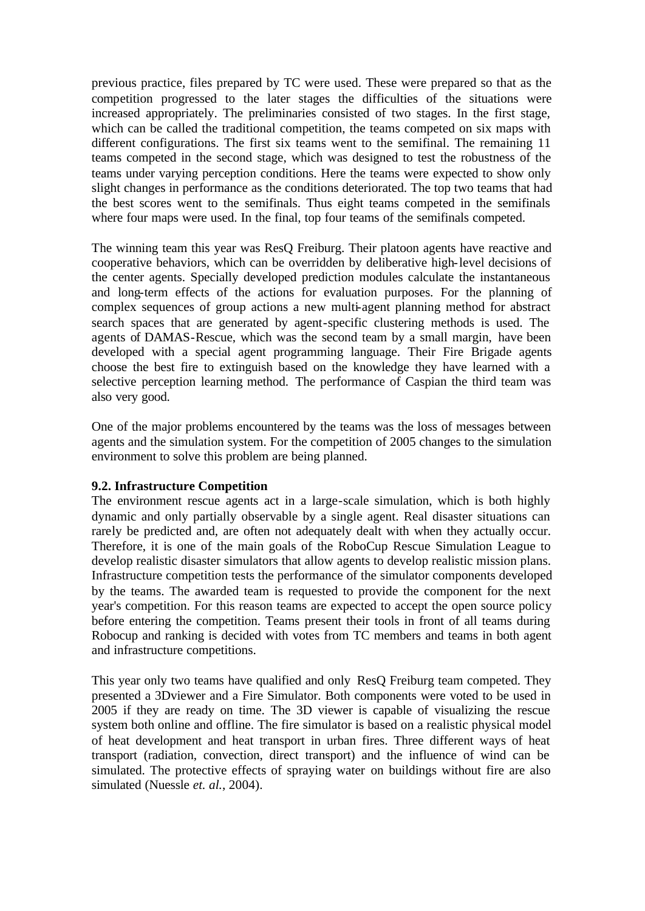previous practice, files prepared by TC were used. These were prepared so that as the competition progressed to the later stages the difficulties of the situations were increased appropriately. The preliminaries consisted of two stages. In the first stage, which can be called the traditional competition, the teams competed on six maps with different configurations. The first six teams went to the semifinal. The remaining 11 teams competed in the second stage, which was designed to test the robustness of the teams under varying perception conditions. Here the teams were expected to show only slight changes in performance as the conditions deteriorated. The top two teams that had the best scores went to the semifinals. Thus eight teams competed in the semifinals where four maps were used. In the final, top four teams of the semifinals competed.

The winning team this year was ResQ Freiburg. Their platoon agents have reactive and cooperative behaviors, which can be overridden by deliberative high-level decisions of the center agents. Specially developed prediction modules calculate the instantaneous and long-term effects of the actions for evaluation purposes. For the planning of complex sequences of group actions a new multi-agent planning method for abstract search spaces that are generated by agent-specific clustering methods is used. The agents of DAMAS-Rescue, which was the second team by a small margin, have been developed with a special agent programming language. Their Fire Brigade agents choose the best fire to extinguish based on the knowledge they have learned with a selective perception learning method. The performance of Caspian the third team was also very good.

One of the major problems encountered by the teams was the loss of messages between agents and the simulation system. For the competition of 2005 changes to the simulation environment to solve this problem are being planned.

### **9.2. Infrastructure Competition**

The environment rescue agents act in a large-scale simulation, which is both highly dynamic and only partially observable by a single agent. Real disaster situations can rarely be predicted and, are often not adequately dealt with when they actually occur. Therefore, it is one of the main goals of the RoboCup Rescue Simulation League to develop realistic disaster simulators that allow agents to develop realistic mission plans. Infrastructure competition tests the performance of the simulator components developed by the teams. The awarded team is requested to provide the component for the next year's competition. For this reason teams are expected to accept the open source policy before entering the competition. Teams present their tools in front of all teams during Robocup and ranking is decided with votes from TC members and teams in both agent and infrastructure competitions.

This year only two teams have qualified and only ResQ Freiburg team competed. They presented a 3Dviewer and a Fire Simulator. Both components were voted to be used in 2005 if they are ready on time. The 3D viewer is capable of visualizing the rescue system both online and offline. The fire simulator is based on a realistic physical model of heat development and heat transport in urban fires. Three different ways of heat transport (radiation, convection, direct transport) and the influence of wind can be simulated. The protective effects of spraying water on buildings without fire are also simulated (Nuessle *et. al.*, 2004).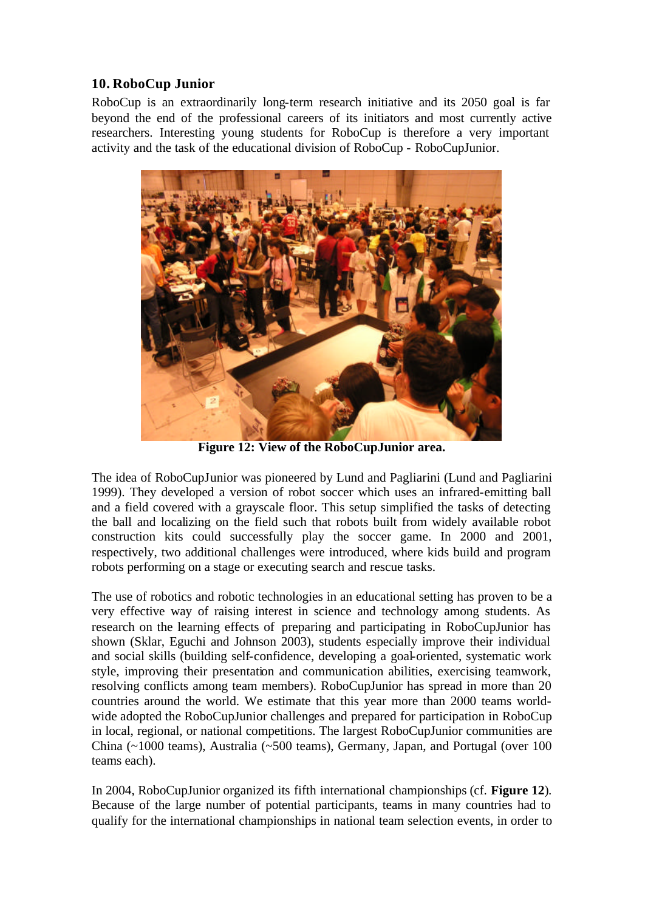## **10. RoboCup Junior**

RoboCup is an extraordinarily long-term research initiative and its 2050 goal is far beyond the end of the professional careers of its initiators and most currently active researchers. Interesting young students for RoboCup is therefore a very important activity and the task of the educational division of RoboCup - RoboCupJunior.



**Figure 12: View of the RoboCupJunior area.**

The idea of RoboCupJunior was pioneered by Lund and Pagliarini (Lund and Pagliarini 1999). They developed a version of robot soccer which uses an infrared-emitting ball and a field covered with a grayscale floor. This setup simplified the tasks of detecting the ball and localizing on the field such that robots built from widely available robot construction kits could successfully play the soccer game. In 2000 and 2001, respectively, two additional challenges were introduced, where kids build and program robots performing on a stage or executing search and rescue tasks.

The use of robotics and robotic technologies in an educational setting has proven to be a very effective way of raising interest in science and technology among students. As research on the learning effects of preparing and participating in RoboCupJunior has shown (Sklar, Eguchi and Johnson 2003), students especially improve their individual and social skills (building self-confidence, developing a goal-oriented, systematic work style, improving their presentation and communication abilities, exercising teamwork, resolving conflicts among team members). RoboCupJunior has spread in more than 20 countries around the world. We estimate that this year more than 2000 teams worldwide adopted the RoboCupJunior challenges and prepared for participation in RoboCup in local, regional, or national competitions. The largest RoboCupJunior communities are China (~1000 teams), Australia (~500 teams), Germany, Japan, and Portugal (over 100 teams each).

In 2004, RoboCupJunior organized its fifth international championships (cf. **Figure 12**). Because of the large number of potential participants, teams in many countries had to qualify for the international championships in national team selection events, in order to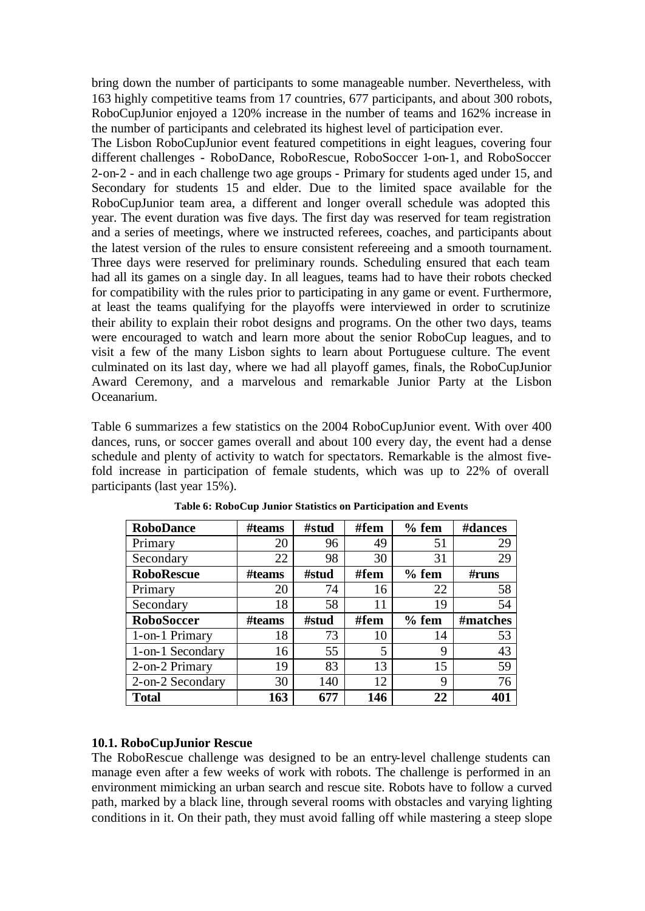bring down the number of participants to some manageable number. Nevertheless, with 163 highly competitive teams from 17 countries, 677 participants, and about 300 robots, RoboCupJunior enjoyed a 120% increase in the number of teams and 162% increase in the number of participants and celebrated its highest level of participation ever.

The Lisbon RoboCupJunior event featured competitions in eight leagues, covering four different challenges - RoboDance, RoboRescue, RoboSoccer 1-on-1, and RoboSoccer 2-on-2 - and in each challenge two age groups - Primary for students aged under 15, and Secondary for students 15 and elder. Due to the limited space available for the RoboCupJunior team area, a different and longer overall schedule was adopted this year. The event duration was five days. The first day was reserved for team registration and a series of meetings, where we instructed referees, coaches, and participants about the latest version of the rules to ensure consistent refereeing and a smooth tournament. Three days were reserved for preliminary rounds. Scheduling ensured that each team had all its games on a single day. In all leagues, teams had to have their robots checked for compatibility with the rules prior to participating in any game or event. Furthermore, at least the teams qualifying for the playoffs were interviewed in order to scrutinize their ability to explain their robot designs and programs. On the other two days, teams were encouraged to watch and learn more about the senior RoboCup leagues, and to visit a few of the many Lisbon sights to learn about Portuguese culture. The event culminated on its last day, where we had all playoff games, finals, the RoboCupJunior Award Ceremony, and a marvelous and remarkable Junior Party at the Lisbon Oceanarium.

Table 6 summarizes a few statistics on the 2004 RoboCupJunior event. With over 400 dances, runs, or soccer games overall and about 100 every day, the event had a dense schedule and plenty of activity to watch for spectators. Remarkable is the almost fivefold increase in participation of female students, which was up to 22% of overall participants (last year 15%).

| <b>RoboDance</b>  | #teams | #stud | #fem | $%$ fem | #dances  |
|-------------------|--------|-------|------|---------|----------|
| Primary           | 20     | 96    | 49   | 51      | 29       |
| Secondary         | 22     | 98    | 30   | 31      | 29       |
| <b>RoboRescue</b> | #teams | #stud | #fem | $%$ fem | #runs    |
| Primary           | 20     | 74    | 16   | 22      | 58       |
| Secondary         | 18     | 58    | 11   | 19      | 54       |
| <b>RoboSoccer</b> | #teams | #stud | #fem | $%$ fem | #matches |
| 1-on-1 Primary    | 18     | 73    | 10   | 14      | 53       |
| 1-on-1 Secondary  | 16     | 55    | 5    | 9       | 43       |
| 2-on-2 Primary    | 19     | 83    | 13   | 15      | 59       |
| 2-on-2 Secondary  | 30     | 140   | 12   | 9       | 76       |
| <b>Total</b>      | 163    | 677   | 146  | 22      | 401      |

**Table 6: RoboCup Junior Statistics on Participation and Events**

### **10.1. RoboCupJunior Rescue**

The RoboRescue challenge was designed to be an entry-level challenge students can manage even after a few weeks of work with robots. The challenge is performed in an environment mimicking an urban search and rescue site. Robots have to follow a curved path, marked by a black line, through several rooms with obstacles and varying lighting conditions in it. On their path, they must avoid falling off while mastering a steep slope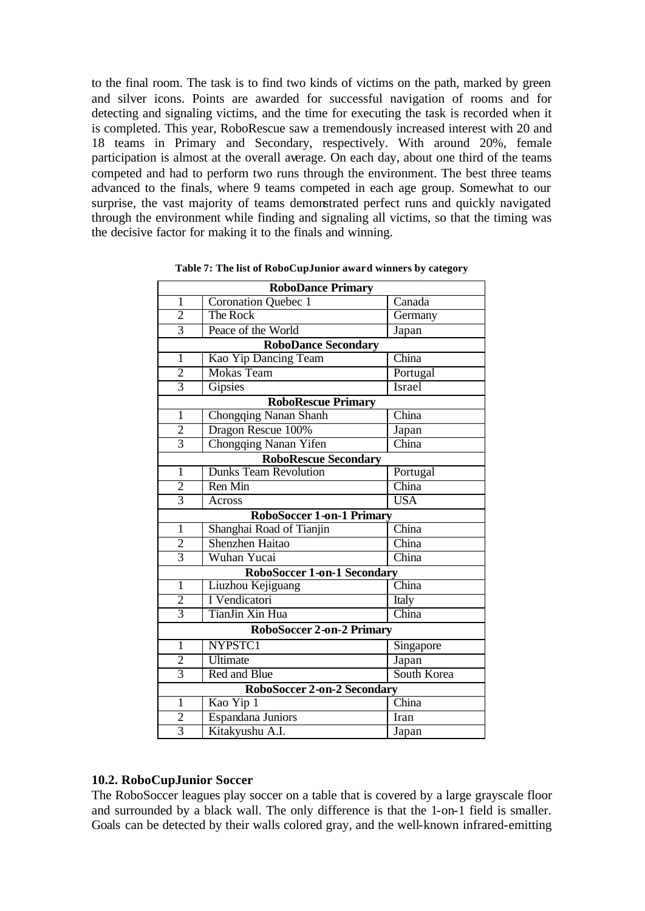to the final room. The task is to find two kinds of victims on the path, marked by green and silver icons. Points are awarded for successful navigation of rooms and for detecting and signaling victims, and the time for executing the task is recorded when it is completed. This year, RoboRescue saw a tremendously increased interest with 20 and 18 teams in Primary and Secondary, respectively. With around 20%, female participation is almost at the overall average. On each day, about one third of the teams competed and had to perform two runs through the environment. The best three teams advanced to the finals, where 9 teams competed in each age group. Somewhat to our surprise, the vast majority of teams demonstrated perfect runs and quickly navigated through the environment while finding and signaling all victims, so that the timing was the decisive factor for making it to the finals and winning.

| <b>RoboDance Primary</b>           |                                    |             |  |
|------------------------------------|------------------------------------|-------------|--|
| 1                                  | Coronation Quebec 1                | Canada      |  |
| $\overline{2}$                     | The Rock                           | Germany     |  |
| $\overline{3}$                     | Peace of the World                 | Japan       |  |
|                                    | <b>RoboDance Secondary</b>         |             |  |
| $\overline{1}$                     | Kao Yip Dancing Team               | China       |  |
| $\overline{2}$                     | <b>Mokas Team</b>                  | Portugal    |  |
| $\overline{3}$                     | <b>Gipsies</b>                     | Israel      |  |
| <b>RoboRescue Primary</b>          |                                    |             |  |
| $\mathbf{1}$                       | Chongqing Nanan Shanh              | China       |  |
| $\overline{c}$                     | Dragon Rescue 100%                 | Japan       |  |
| $\overline{3}$                     | Chongqing Nanan Yifen              | China       |  |
|                                    | <b>RoboRescue Secondary</b>        |             |  |
| 1                                  | <b>Dunks Team Revolution</b>       | Portugal    |  |
| $\overline{2}$                     | Ren Min                            | China       |  |
| $\overline{3}$                     | Across                             | <b>USA</b>  |  |
|                                    | <b>RoboSoccer 1-on-1 Primary</b>   |             |  |
| $\mathbf{1}$                       | Shanghai Road of Tianjin           | China       |  |
| $\overline{c}$                     | <b>Shenzhen Haitao</b>             | China       |  |
| $\overline{3}$                     | Wuhan Yucai                        | China       |  |
|                                    | <b>RoboSoccer 1-on-1 Secondary</b> |             |  |
| $\mathbf{1}$                       | Liuzhou Kejiguang                  | China       |  |
| $\overline{2}$                     | I Vendicatori                      | Italy       |  |
| $\overline{3}$                     | TianJin Xin Hua                    | China       |  |
| <b>RoboSoccer 2-on-2 Primary</b>   |                                    |             |  |
| $\mathbf{1}$                       | NYPSTC1                            | Singapore   |  |
| $\overline{c}$                     | Ultimate                           | Japan       |  |
| $\overline{3}$                     | Red and Blue                       | South Korea |  |
| <b>RoboSoccer 2-on-2 Secondary</b> |                                    |             |  |
| $\mathbf{1}$                       | Kao Yip 1                          | China       |  |
| 2                                  | Espandana Juniors                  | Iran        |  |
| $\overline{3}$                     | Kitakyushu A.I.                    | Japan       |  |

**Table 7: The list of RoboCupJunior award winners by category**

### **10.2. RoboCupJunior Soccer**

The RoboSoccer leagues play soccer on a table that is covered by a large grayscale floor and surrounded by a black wall. The only difference is that the 1-on-1 field is smaller. Goals can be detected by their walls colored gray, and the well-known infrared-emitting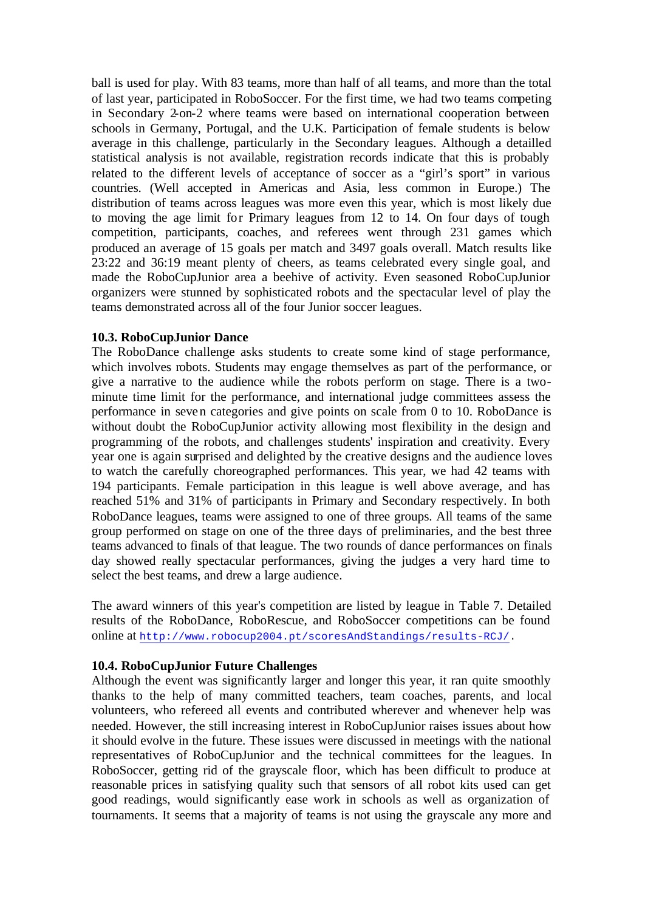ball is used for play. With 83 teams, more than half of all teams, and more than the total of last year, participated in RoboSoccer. For the first time, we had two teams competing in Secondary 2-on-2 where teams were based on international cooperation between schools in Germany, Portugal, and the U.K. Participation of female students is below average in this challenge, particularly in the Secondary leagues. Although a detailled statistical analysis is not available, registration records indicate that this is probably related to the different levels of acceptance of soccer as a "girl's sport" in various countries. (Well accepted in Americas and Asia, less common in Europe.) The distribution of teams across leagues was more even this year, which is most likely due to moving the age limit for Primary leagues from 12 to 14. On four days of tough competition, participants, coaches, and referees went through 231 games which produced an average of 15 goals per match and 3497 goals overall. Match results like 23:22 and 36:19 meant plenty of cheers, as teams celebrated every single goal, and made the RoboCupJunior area a beehive of activity. Even seasoned RoboCupJunior organizers were stunned by sophisticated robots and the spectacular level of play the teams demonstrated across all of the four Junior soccer leagues.

### **10.3. RoboCupJunior Dance**

The RoboDance challenge asks students to create some kind of stage performance, which involves robots. Students may engage themselves as part of the performance, or give a narrative to the audience while the robots perform on stage. There is a twominute time limit for the performance, and international judge committees assess the performance in seven categories and give points on scale from 0 to 10. RoboDance is without doubt the RoboCupJunior activity allowing most flexibility in the design and programming of the robots, and challenges students' inspiration and creativity. Every year one is again surprised and delighted by the creative designs and the audience loves to watch the carefully choreographed performances. This year, we had 42 teams with 194 participants. Female participation in this league is well above average, and has reached 51% and 31% of participants in Primary and Secondary respectively. In both RoboDance leagues, teams were assigned to one of three groups. All teams of the same group performed on stage on one of the three days of preliminaries, and the best three teams advanced to finals of that league. The two rounds of dance performances on finals day showed really spectacular performances, giving the judges a very hard time to select the best teams, and drew a large audience.

The award winners of this year's competition are listed by league in Table 7. Detailed results of the RoboDance, RoboRescue, and RoboSoccer competitions can be found online at http://www.robocup2004.pt/scoresAndStandings/results-RCJ/.

### **10.4. RoboCupJunior Future Challenges**

Although the event was significantly larger and longer this year, it ran quite smoothly thanks to the help of many committed teachers, team coaches, parents, and local volunteers, who refereed all events and contributed wherever and whenever help was needed. However, the still increasing interest in RoboCupJunior raises issues about how it should evolve in the future. These issues were discussed in meetings with the national representatives of RoboCupJunior and the technical committees for the leagues. In RoboSoccer, getting rid of the grayscale floor, which has been difficult to produce at reasonable prices in satisfying quality such that sensors of all robot kits used can get good readings, would significantly ease work in schools as well as organization of tournaments. It seems that a majority of teams is not using the grayscale any more and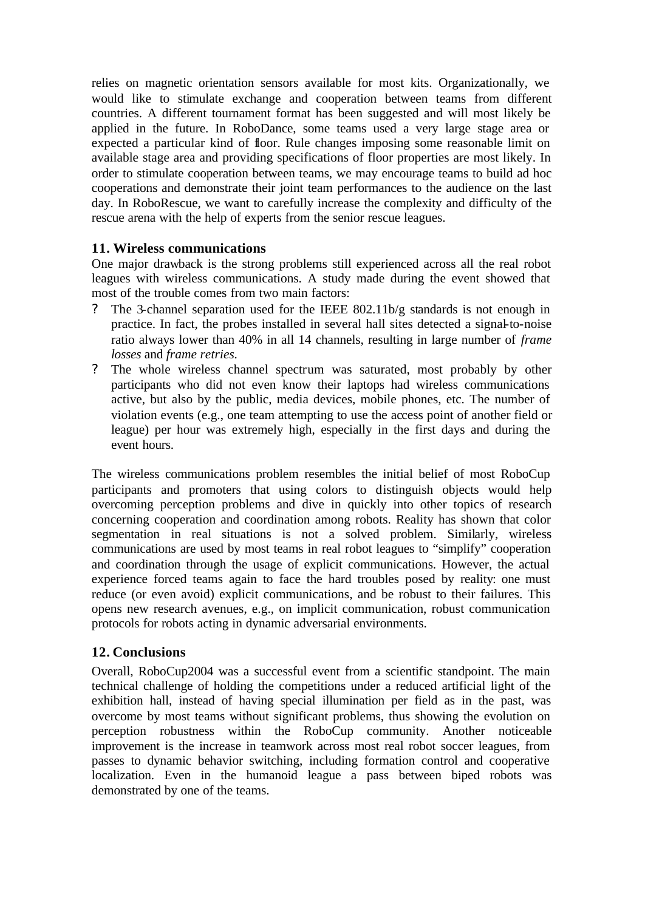relies on magnetic orientation sensors available for most kits. Organizationally, we would like to stimulate exchange and cooperation between teams from different countries. A different tournament format has been suggested and will most likely be applied in the future. In RoboDance, some teams used a very large stage area or expected a particular kind of floor. Rule changes imposing some reasonable limit on available stage area and providing specifications of floor properties are most likely. In order to stimulate cooperation between teams, we may encourage teams to build ad hoc cooperations and demonstrate their joint team performances to the audience on the last day. In RoboRescue, we want to carefully increase the complexity and difficulty of the rescue arena with the help of experts from the senior rescue leagues.

## **11. Wireless communications**

One major drawback is the strong problems still experienced across all the real robot leagues with wireless communications. A study made during the event showed that most of the trouble comes from two main factors:

- ? The 3-channel separation used for the IEEE 802.11b/g standards is not enough in practice. In fact, the probes installed in several hall sites detected a signal-to-noise ratio always lower than 40% in all 14 channels, resulting in large number of *frame losses* and *frame retries.*
- ? The whole wireless channel spectrum was saturated, most probably by other participants who did not even know their laptops had wireless communications active, but also by the public, media devices, mobile phones, etc. The number of violation events (e.g., one team attempting to use the access point of another field or league) per hour was extremely high, especially in the first days and during the event hours.

The wireless communications problem resembles the initial belief of most RoboCup participants and promoters that using colors to distinguish objects would help overcoming perception problems and dive in quickly into other topics of research concerning cooperation and coordination among robots. Reality has shown that color segmentation in real situations is not a solved problem. Similarly, wireless communications are used by most teams in real robot leagues to "simplify" cooperation and coordination through the usage of explicit communications. However, the actual experience forced teams again to face the hard troubles posed by reality: one must reduce (or even avoid) explicit communications, and be robust to their failures. This opens new research avenues, e.g., on implicit communication, robust communication protocols for robots acting in dynamic adversarial environments.

## **12. Conclusions**

Overall, RoboCup2004 was a successful event from a scientific standpoint. The main technical challenge of holding the competitions under a reduced artificial light of the exhibition hall, instead of having special illumination per field as in the past, was overcome by most teams without significant problems, thus showing the evolution on perception robustness within the RoboCup community. Another noticeable improvement is the increase in teamwork across most real robot soccer leagues, from passes to dynamic behavior switching, including formation control and cooperative localization. Even in the humanoid league a pass between biped robots was demonstrated by one of the teams.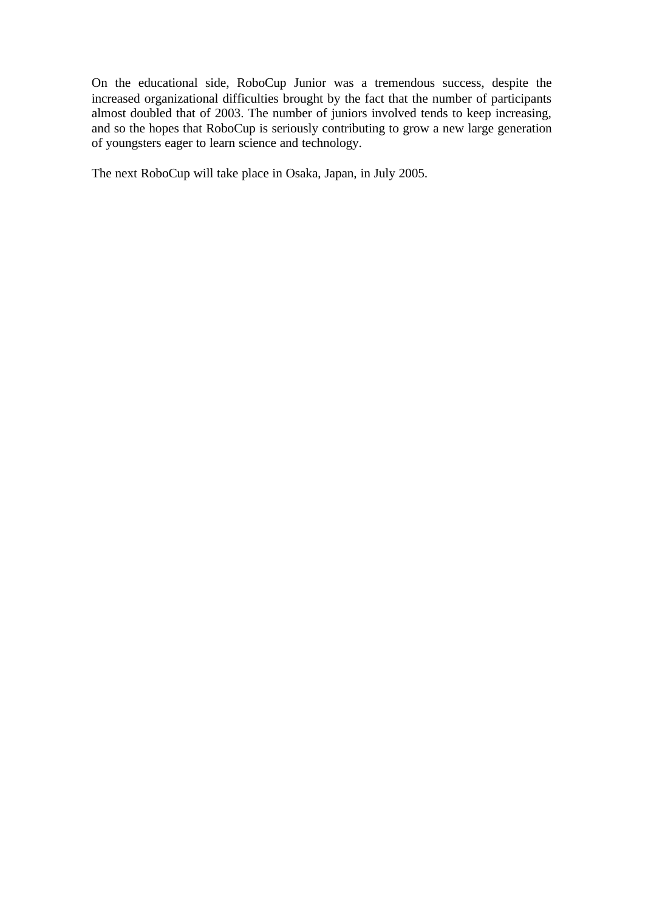On the educational side, RoboCup Junior was a tremendous success, despite the increased organizational difficulties brought by the fact that the number of participants almost doubled that of 2003. The number of juniors involved tends to keep increasing, and so the hopes that RoboCup is seriously contributing to grow a new large generation of youngsters eager to learn science and technology.

The next RoboCup will take place in Osaka, Japan, in July 2005.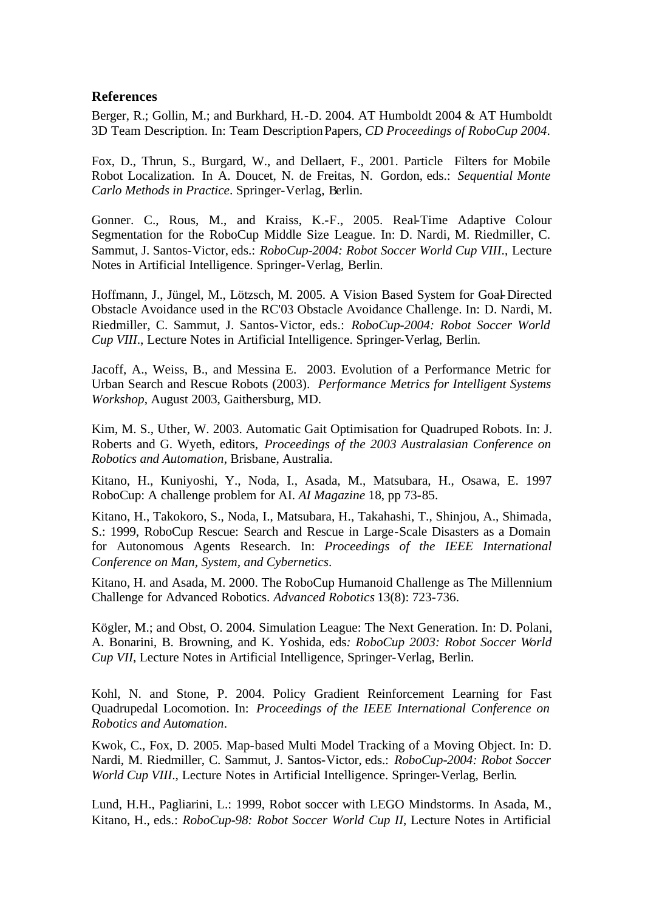### **References**

Berger, R.; Gollin, M.; and Burkhard, H.-D. 2004. AT Humboldt 2004 & AT Humboldt 3D Team Description. In: Team Description Papers, *CD Proceedings of RoboCup 2004*.

Fox, D., Thrun, S., Burgard, W., and Dellaert, F., 2001. Particle Filters for Mobile Robot Localization. In A. Doucet, N. de Freitas, N. Gordon, eds.: *Sequential Monte Carlo Methods in Practice*. Springer-Verlag, Berlin.

Gonner. C., Rous, M., and Kraiss, K.-F., 2005. Real-Time Adaptive Colour Segmentation for the RoboCup Middle Size League. In: D. Nardi, M. Riedmiller, C. Sammut, J. Santos-Victor, eds.: *RoboCup-2004: Robot Soccer World Cup VIII*., Lecture Notes in Artificial Intelligence. Springer-Verlag, Berlin.

Hoffmann, J., Jüngel, M., Lötzsch, M. 2005. A Vision Based System for Goal-Directed Obstacle Avoidance used in the RC'03 Obstacle Avoidance Challenge. In: D. Nardi, M. Riedmiller, C. Sammut, J. Santos-Victor, eds.: *RoboCup-2004: Robot Soccer World Cup VIII*., Lecture Notes in Artificial Intelligence. Springer-Verlag, Berlin.

Jacoff, A., Weiss, B., and Messina E. 2003. Evolution of a Performance Metric for Urban Search and Rescue Robots (2003). *Performance Metrics for Intelligent Systems Workshop*, August 2003, Gaithersburg, MD.

Kim, M. S., Uther, W. 2003. Automatic Gait Optimisation for Quadruped Robots. In: J. Roberts and G. Wyeth, editors, *Proceedings of the 2003 Australasian Conference on Robotics and Automation*, Brisbane, Australia.

Kitano, H., Kuniyoshi, Y., Noda, I., Asada, M., Matsubara, H., Osawa, E. 1997 RoboCup: A challenge problem for AI. *AI Magazine* 18, pp 73-85.

Kitano, H., Takokoro, S., Noda, I., Matsubara, H., Takahashi, T., Shinjou, A., Shimada, S.: 1999, RoboCup Rescue: Search and Rescue in Large-Scale Disasters as a Domain for Autonomous Agents Research. In: *Proceedings of the IEEE International Conference on Man, System, and Cybernetics*.

Kitano, H. and Asada, M. 2000. The RoboCup Humanoid Challenge as The Millennium Challenge for Advanced Robotics. *Advanced Robotics* 13(8): 723-736.

Kögler, M.; and Obst, O. 2004. Simulation League: The Next Generation. In: D. Polani, A. Bonarini, B. Browning, and K. Yoshida*,* eds*: RoboCup 2003: Robot Soccer World Cup VII*, Lecture Notes in Artificial Intelligence, Springer-Verlag, Berlin.

Kohl, N. and Stone, P. 2004. Policy Gradient Reinforcement Learning for Fast Quadrupedal Locomotion. In: *Proceedings of the IEEE International Conference on Robotics and Automation*.

Kwok, C., Fox, D. 2005. Map-based Multi Model Tracking of a Moving Object. In: D. Nardi, M. Riedmiller, C. Sammut, J. Santos-Victor, eds.: *RoboCup-2004: Robot Soccer World Cup VIII*., Lecture Notes in Artificial Intelligence. Springer-Verlag, Berlin.

Lund, H.H., Pagliarini, L.: 1999, Robot soccer with LEGO Mindstorms. In Asada, M., Kitano, H., eds.: *RoboCup-98: Robot Soccer World Cup II*, Lecture Notes in Artificial